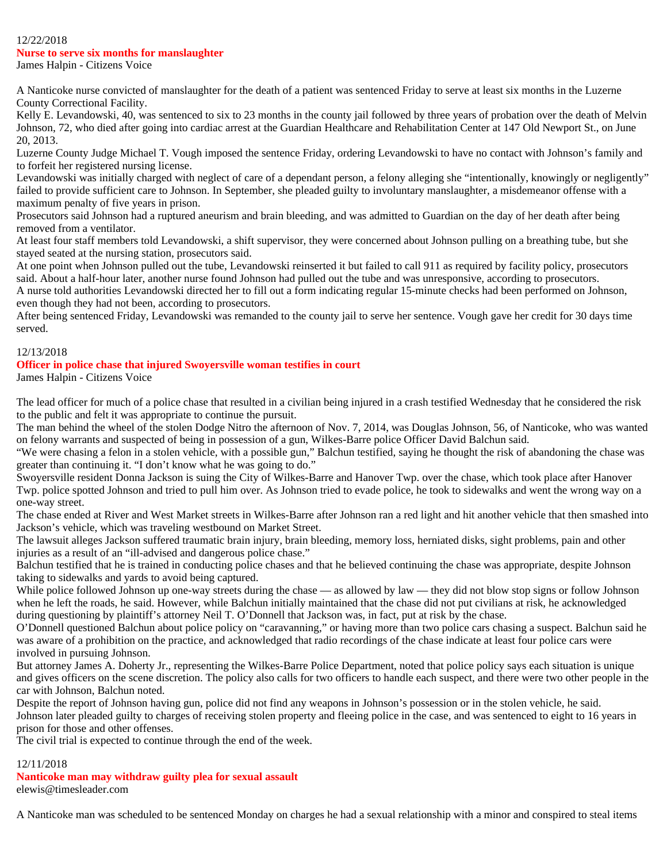#### 12/22/2018

### **Nurse to serve six months for manslaughter**

James Halpin - Citizens Voice

A Nanticoke nurse convicted of manslaughter for the death of a patient was sentenced Friday to serve at least six months in the Luzerne County Correctional Facility.

Kelly E. Levandowski, 40, was sentenced to six to 23 months in the county jail followed by three years of probation over the death of Melvin Johnson, 72, who died after going into cardiac arrest at the Guardian Healthcare and Rehabilitation Center at 147 Old Newport St., on June 20, 2013.

Luzerne County Judge Michael T. Vough imposed the sentence Friday, ordering Levandowski to have no contact with Johnson's family and to forfeit her registered nursing license.

Levandowski was initially charged with neglect of care of a dependant person, a felony alleging she "intentionally, knowingly or negligently" failed to provide sufficient care to Johnson. In September, she pleaded guilty to involuntary manslaughter, a misdemeanor offense with a maximum penalty of five years in prison.

Prosecutors said Johnson had a ruptured aneurism and brain bleeding, and was admitted to Guardian on the day of her death after being removed from a ventilator.

At least four staff members told Levandowski, a shift supervisor, they were concerned about Johnson pulling on a breathing tube, but she stayed seated at the nursing station, prosecutors said.

At one point when Johnson pulled out the tube, Levandowski reinserted it but failed to call 911 as required by facility policy, prosecutors said. About a half-hour later, another nurse found Johnson had pulled out the tube and was unresponsive, according to prosecutors.

A nurse told authorities Levandowski directed her to fill out a form indicating regular 15-minute checks had been performed on Johnson, even though they had not been, according to prosecutors.

After being sentenced Friday, Levandowski was remanded to the county jail to serve her sentence. Vough gave her credit for 30 days time served.

#### 12/13/2018

#### **Officer in police chase that injured Swoyersville woman testifies in court**

James Halpin - Citizens Voice

The lead officer for much of a police chase that resulted in a civilian being injured in a crash testified Wednesday that he considered the risk to the public and felt it was appropriate to continue the pursuit.

The man behind the wheel of the stolen Dodge Nitro the afternoon of Nov. 7, 2014, was Douglas Johnson, 56, of Nanticoke, who was wanted on felony warrants and suspected of being in possession of a gun, Wilkes-Barre police Officer David Balchun said.

"We were chasing a felon in a stolen vehicle, with a possible gun," Balchun testified, saying he thought the risk of abandoning the chase was greater than continuing it. "I don't know what he was going to do."

Swoyersville resident Donna Jackson is suing the City of Wilkes-Barre and Hanover Twp. over the chase, which took place after Hanover Twp. police spotted Johnson and tried to pull him over. As Johnson tried to evade police, he took to sidewalks and went the wrong way on a one-way street.

The chase ended at River and West Market streets in Wilkes-Barre after Johnson ran a red light and hit another vehicle that then smashed into Jackson's vehicle, which was traveling westbound on Market Street.

The lawsuit alleges Jackson suffered traumatic brain injury, brain bleeding, memory loss, herniated disks, sight problems, pain and other injuries as a result of an "ill-advised and dangerous police chase."

Balchun testified that he is trained in conducting police chases and that he believed continuing the chase was appropriate, despite Johnson taking to sidewalks and yards to avoid being captured.

While police followed Johnson up one-way streets during the chase — as allowed by law — they did not blow stop signs or follow Johnson when he left the roads, he said. However, while Balchun initially maintained that the chase did not put civilians at risk, he acknowledged during questioning by plaintiff's attorney Neil T. O'Donnell that Jackson was, in fact, put at risk by the chase.

O'Donnell questioned Balchun about police policy on "caravanning," or having more than two police cars chasing a suspect. Balchun said he was aware of a prohibition on the practice, and acknowledged that radio recordings of the chase indicate at least four police cars were involved in pursuing Johnson.

But attorney James A. Doherty Jr., representing the Wilkes-Barre Police Department, noted that police policy says each situation is unique and gives officers on the scene discretion. The policy also calls for two officers to handle each suspect, and there were two other people in the car with Johnson, Balchun noted.

Despite the report of Johnson having gun, police did not find any weapons in Johnson's possession or in the stolen vehicle, he said. Johnson later pleaded guilty to charges of receiving stolen property and fleeing police in the case, and was sentenced to eight to 16 years in prison for those and other offenses.

The civil trial is expected to continue through the end of the week.

#### 12/11/2018

#### **Nanticoke man may withdraw guilty plea for sexual assault** elewis@timesleader.com

A Nanticoke man was scheduled to be sentenced Monday on charges he had a sexual relationship with a minor and conspired to steal items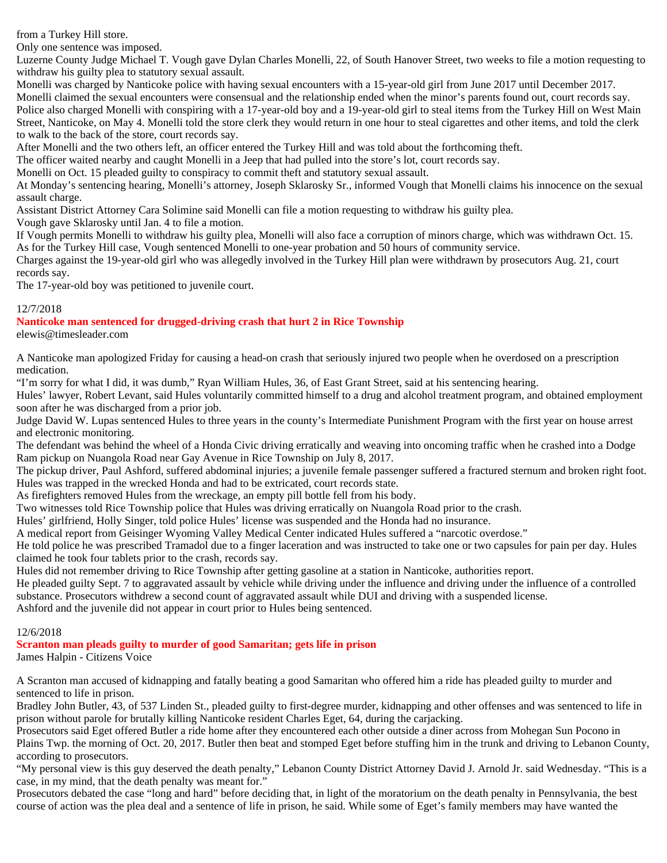from a Turkey Hill store.

Only one sentence was imposed.

Luzerne County Judge Michael T. Vough gave Dylan Charles Monelli, 22, of South Hanover Street, two weeks to file a motion requesting to withdraw his guilty plea to statutory sexual assault.

Monelli was charged by Nanticoke police with having sexual encounters with a 15-year-old girl from June 2017 until December 2017. Monelli claimed the sexual encounters were consensual and the relationship ended when the minor's parents found out, court records say. Police also charged Monelli with conspiring with a 17-year-old boy and a 19-year-old girl to steal items from the Turkey Hill on West Main Street, Nanticoke, on May 4. Monelli told the store clerk they would return in one hour to steal cigarettes and other items, and told the clerk to walk to the back of the store, court records say.

After Monelli and the two others left, an officer entered the Turkey Hill and was told about the forthcoming theft.

The officer waited nearby and caught Monelli in a Jeep that had pulled into the store's lot, court records say.

Monelli on Oct. 15 pleaded guilty to conspiracy to commit theft and statutory sexual assault.

At Monday's sentencing hearing, Monelli's attorney, Joseph Sklarosky Sr., informed Vough that Monelli claims his innocence on the sexual assault charge.

Assistant District Attorney Cara Solimine said Monelli can file a motion requesting to withdraw his guilty plea.

Vough gave Sklarosky until Jan. 4 to file a motion.

If Vough permits Monelli to withdraw his guilty plea, Monelli will also face a corruption of minors charge, which was withdrawn Oct. 15. As for the Turkey Hill case, Vough sentenced Monelli to one-year probation and 50 hours of community service.

Charges against the 19-year-old girl who was allegedly involved in the Turkey Hill plan were withdrawn by prosecutors Aug. 21, court records say.

The 17-year-old boy was petitioned to juvenile court.

### 12/7/2018

### **Nanticoke man sentenced for drugged-driving crash that hurt 2 in Rice Township**

elewis@timesleader.com

A Nanticoke man apologized Friday for causing a head-on crash that seriously injured two people when he overdosed on a prescription medication.

"I'm sorry for what I did, it was dumb," Ryan William Hules, 36, of East Grant Street, said at his sentencing hearing.

Hules' lawyer, Robert Levant, said Hules voluntarily committed himself to a drug and alcohol treatment program, and obtained employment soon after he was discharged from a prior job.

Judge David W. Lupas sentenced Hules to three years in the county's Intermediate Punishment Program with the first year on house arrest and electronic monitoring.

The defendant was behind the wheel of a Honda Civic driving erratically and weaving into oncoming traffic when he crashed into a Dodge Ram pickup on Nuangola Road near Gay Avenue in Rice Township on July 8, 2017.

The pickup driver, Paul Ashford, suffered abdominal injuries; a juvenile female passenger suffered a fractured sternum and broken right foot. Hules was trapped in the wrecked Honda and had to be extricated, court records state.

As firefighters removed Hules from the wreckage, an empty pill bottle fell from his body.

Two witnesses told Rice Township police that Hules was driving erratically on Nuangola Road prior to the crash.

Hules' girlfriend, Holly Singer, told police Hules' license was suspended and the Honda had no insurance.

A medical report from Geisinger Wyoming Valley Medical Center indicated Hules suffered a "narcotic overdose."

He told police he was prescribed Tramadol due to a finger laceration and was instructed to take one or two capsules for pain per day. Hules claimed he took four tablets prior to the crash, records say.

Hules did not remember driving to Rice Township after getting gasoline at a station in Nanticoke, authorities report.

He pleaded guilty Sept. 7 to aggravated assault by vehicle while driving under the influence and driving under the influence of a controlled substance. Prosecutors withdrew a second count of aggravated assault while DUI and driving with a suspended license.

Ashford and the juvenile did not appear in court prior to Hules being sentenced.

12/6/2018

**Scranton man pleads guilty to murder of good Samaritan; gets life in prison**

James Halpin - Citizens Voice

A Scranton man accused of kidnapping and fatally beating a good Samaritan who offered him a ride has pleaded guilty to murder and sentenced to life in prison.

Bradley John Butler, 43, of 537 Linden St., pleaded guilty to first-degree murder, kidnapping and other offenses and was sentenced to life in prison without parole for brutally killing Nanticoke resident Charles Eget, 64, during the carjacking.

Prosecutors said Eget offered Butler a ride home after they encountered each other outside a diner across from Mohegan Sun Pocono in Plains Twp. the morning of Oct. 20, 2017. Butler then beat and stomped Eget before stuffing him in the trunk and driving to Lebanon County, according to prosecutors.

"My personal view is this guy deserved the death penalty," Lebanon County District Attorney David J. Arnold Jr. said Wednesday. "This is a case, in my mind, that the death penalty was meant for."

Prosecutors debated the case "long and hard" before deciding that, in light of the moratorium on the death penalty in Pennsylvania, the best course of action was the plea deal and a sentence of life in prison, he said. While some of Eget's family members may have wanted the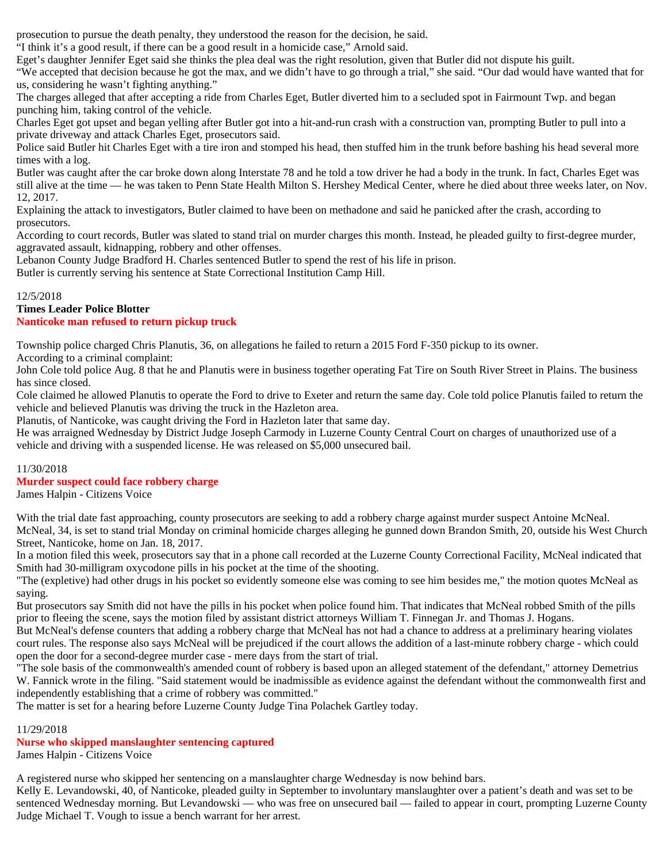prosecution to pursue the death penalty, they understood the reason for the decision, he said.

"I think it's a good result, if there can be a good result in a homicide case," Arnold said.

Eget's daughter Jennifer Eget said she thinks the plea deal was the right resolution, given that Butler did not dispute his guilt.

"We accepted that decision because he got the max, and we didn't have to go through a trial," she said. "Our dad would have wanted that for us, considering he wasn't fighting anything."

The charges alleged that after accepting a ride from Charles Eget, Butler diverted him to a secluded spot in Fairmount Twp. and began punching him, taking control of the vehicle.

Charles Eget got upset and began yelling after Butler got into a hit-and-run crash with a construction van, prompting Butler to pull into a private driveway and attack Charles Eget, prosecutors said.

Police said Butler hit Charles Eget with a tire iron and stomped his head, then stuffed him in the trunk before bashing his head several more times with a log.

Butler was caught after the car broke down along Interstate 78 and he told a tow driver he had a body in the trunk. In fact, Charles Eget was still alive at the time — he was taken to Penn State Health Milton S. Hershey Medical Center, where he died about three weeks later, on Nov. 12, 2017.

Explaining the attack to investigators, Butler claimed to have been on methadone and said he panicked after the crash, according to prosecutors.

According to court records, Butler was slated to stand trial on murder charges this month. Instead, he pleaded guilty to first-degree murder, aggravated assault, kidnapping, robbery and other offenses.

Lebanon County Judge Bradford H. Charles sentenced Butler to spend the rest of his life in prison.

Butler is currently serving his sentence at State Correctional Institution Camp Hill.

#### 12/5/2018

#### **Times Leader Police Blotter Nanticoke man refused to return pickup truck**

Township police charged Chris Planutis, 36, on allegations he failed to return a 2015 Ford F-350 pickup to its owner.

According to a criminal complaint:

John Cole told police Aug. 8 that he and Planutis were in business together operating Fat Tire on South River Street in Plains. The business has since closed.

Cole claimed he allowed Planutis to operate the Ford to drive to Exeter and return the same day. Cole told police Planutis failed to return the vehicle and believed Planutis was driving the truck in the Hazleton area.

Planutis, of Nanticoke, was caught driving the Ford in Hazleton later that same day.

He was arraigned Wednesday by District Judge Joseph Carmody in Luzerne County Central Court on charges of unauthorized use of a vehicle and driving with a suspended license. He was released on \$5,000 unsecured bail.

#### 11/30/2018

#### **Murder suspect could face robbery charge**

James Halpin - Citizens Voice

With the trial date fast approaching, county prosecutors are seeking to add a robbery charge against murder suspect Antoine McNeal. McNeal, 34, is set to stand trial Monday on criminal homicide charges alleging he gunned down Brandon Smith, 20, outside his West Church Street, Nanticoke, home on Jan. 18, 2017.

In a motion filed this week, prosecutors say that in a phone call recorded at the Luzerne County Correctional Facility, McNeal indicated that Smith had 30-milligram oxycodone pills in his pocket at the time of the shooting.

"The (expletive) had other drugs in his pocket so evidently someone else was coming to see him besides me," the motion quotes McNeal as saying.

But prosecutors say Smith did not have the pills in his pocket when police found him. That indicates that McNeal robbed Smith of the pills prior to fleeing the scene, says the motion filed by assistant district attorneys William T. Finnegan Jr. and Thomas J. Hogans.

But McNeal's defense counters that adding a robbery charge that McNeal has not had a chance to address at a preliminary hearing violates court rules. The response also says McNeal will be prejudiced if the court allows the addition of a last-minute robbery charge - which could open the door for a second-degree murder case - mere days from the start of trial.

"The sole basis of the commonwealth's amended count of robbery is based upon an alleged statement of the defendant," attorney Demetrius W. Fannick wrote in the filing. "Said statement would be inadmissible as evidence against the defendant without the commonwealth first and independently establishing that a crime of robbery was committed."

The matter is set for a hearing before Luzerne County Judge Tina Polachek Gartley today.

#### 11/29/2018

### **Nurse who skipped manslaughter sentencing captured**

James Halpin - Citizens Voice

A registered nurse who skipped her sentencing on a manslaughter charge Wednesday is now behind bars.

Kelly E. Levandowski, 40, of Nanticoke, pleaded guilty in September to involuntary manslaughter over a patient's death and was set to be sentenced Wednesday morning. But Levandowski — who was free on unsecured bail — failed to appear in court, prompting Luzerne County Judge Michael T. Vough to issue a bench warrant for her arrest.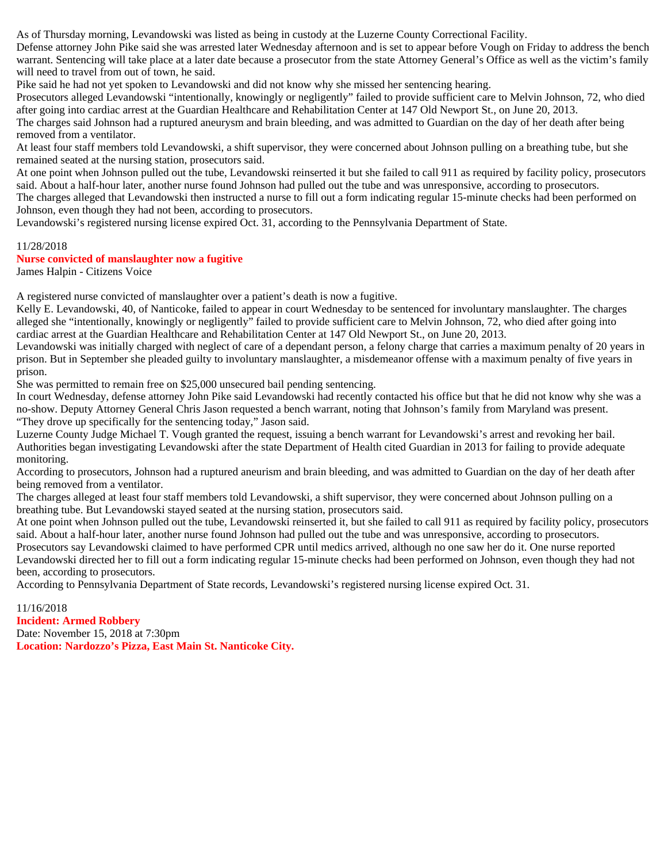As of Thursday morning, Levandowski was listed as being in custody at the Luzerne County Correctional Facility.

Defense attorney John Pike said she was arrested later Wednesday afternoon and is set to appear before Vough on Friday to address the bench warrant. Sentencing will take place at a later date because a prosecutor from the state Attorney General's Office as well as the victim's family will need to travel from out of town, he said.

Pike said he had not yet spoken to Levandowski and did not know why she missed her sentencing hearing.

Prosecutors alleged Levandowski "intentionally, knowingly or negligently" failed to provide sufficient care to Melvin Johnson, 72, who died after going into cardiac arrest at the Guardian Healthcare and Rehabilitation Center at 147 Old Newport St., on June 20, 2013.

The charges said Johnson had a ruptured aneurysm and brain bleeding, and was admitted to Guardian on the day of her death after being removed from a ventilator.

At least four staff members told Levandowski, a shift supervisor, they were concerned about Johnson pulling on a breathing tube, but she remained seated at the nursing station, prosecutors said.

At one point when Johnson pulled out the tube, Levandowski reinserted it but she failed to call 911 as required by facility policy, prosecutors said. About a half-hour later, another nurse found Johnson had pulled out the tube and was unresponsive, according to prosecutors.

The charges alleged that Levandowski then instructed a nurse to fill out a form indicating regular 15-minute checks had been performed on Johnson, even though they had not been, according to prosecutors.

Levandowski's registered nursing license expired Oct. 31, according to the Pennsylvania Department of State.

#### 11/28/2018

#### **Nurse convicted of manslaughter now a fugitive**

James Halpin - Citizens Voice

A registered nurse convicted of manslaughter over a patient's death is now a fugitive.

Kelly E. Levandowski, 40, of Nanticoke, failed to appear in court Wednesday to be sentenced for involuntary manslaughter. The charges alleged she "intentionally, knowingly or negligently" failed to provide sufficient care to Melvin Johnson, 72, who died after going into cardiac arrest at the Guardian Healthcare and Rehabilitation Center at 147 Old Newport St., on June 20, 2013.

Levandowski was initially charged with neglect of care of a dependant person, a felony charge that carries a maximum penalty of 20 years in prison. But in September she pleaded guilty to involuntary manslaughter, a misdemeanor offense with a maximum penalty of five years in prison.

She was permitted to remain free on \$25,000 unsecured bail pending sentencing.

In court Wednesday, defense attorney John Pike said Levandowski had recently contacted his office but that he did not know why she was a no-show. Deputy Attorney General Chris Jason requested a bench warrant, noting that Johnson's family from Maryland was present. "They drove up specifically for the sentencing today," Jason said.

Luzerne County Judge Michael T. Vough granted the request, issuing a bench warrant for Levandowski's arrest and revoking her bail. Authorities began investigating Levandowski after the state Department of Health cited Guardian in 2013 for failing to provide adequate monitoring.

According to prosecutors, Johnson had a ruptured aneurism and brain bleeding, and was admitted to Guardian on the day of her death after being removed from a ventilator.

The charges alleged at least four staff members told Levandowski, a shift supervisor, they were concerned about Johnson pulling on a breathing tube. But Levandowski stayed seated at the nursing station, prosecutors said.

At one point when Johnson pulled out the tube, Levandowski reinserted it, but she failed to call 911 as required by facility policy, prosecutors said. About a half-hour later, another nurse found Johnson had pulled out the tube and was unresponsive, according to prosecutors.

Prosecutors say Levandowski claimed to have performed CPR until medics arrived, although no one saw her do it. One nurse reported Levandowski directed her to fill out a form indicating regular 15-minute checks had been performed on Johnson, even though they had not been, according to prosecutors.

According to Pennsylvania Department of State records, Levandowski's registered nursing license expired Oct. 31.

11/16/2018 **Incident: Armed Robbery** Date: November 15, 2018 at 7:30pm **Location: Nardozzo's Pizza, East Main St. Nanticoke City.**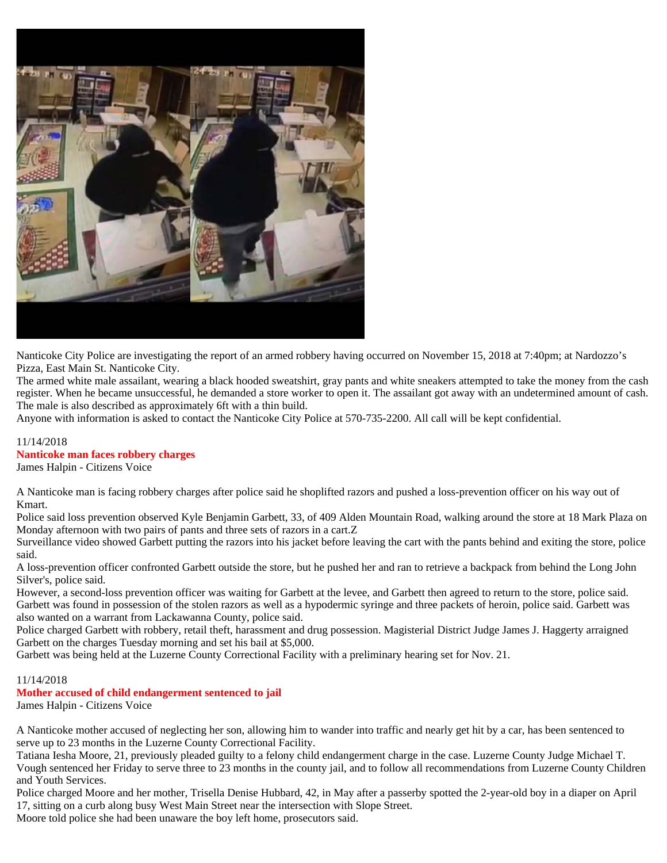

Nanticoke City Police are investigating the report of an armed robbery having occurred on November 15, 2018 at 7:40pm; at Nardozzo's Pizza, East Main St. Nanticoke City.

The armed white male assailant, wearing a black hooded sweatshirt, gray pants and white sneakers attempted to take the money from the cash register. When he became unsuccessful, he demanded a store worker to open it. The assailant got away with an undetermined amount of cash. The male is also described as approximately 6ft with a thin build.

Anyone with information is asked to contact the Nanticoke City Police at 570-735-2200. All call will be kept confidential.

#### 11/14/2018

#### **Nanticoke man faces robbery charges**

James Halpin - Citizens Voice

A Nanticoke man is facing robbery charges after police said he shoplifted razors and pushed a loss-prevention officer on his way out of Kmart.

Police said loss prevention observed Kyle Benjamin Garbett, 33, of 409 Alden Mountain Road, walking around the store at 18 Mark Plaza on Monday afternoon with two pairs of pants and three sets of razors in a cart.Z

Surveillance video showed Garbett putting the razors into his jacket before leaving the cart with the pants behind and exiting the store, police said.

A loss-prevention officer confronted Garbett outside the store, but he pushed her and ran to retrieve a backpack from behind the Long John Silver's, police said.

However, a second-loss prevention officer was waiting for Garbett at the levee, and Garbett then agreed to return to the store, police said. Garbett was found in possession of the stolen razors as well as a hypodermic syringe and three packets of heroin, police said. Garbett was also wanted on a warrant from Lackawanna County, police said.

Police charged Garbett with robbery, retail theft, harassment and drug possession. Magisterial District Judge James J. Haggerty arraigned Garbett on the charges Tuesday morning and set his bail at \$5,000.

Garbett was being held at the Luzerne County Correctional Facility with a preliminary hearing set for Nov. 21.

#### 11/14/2018

### **Mother accused of child endangerment sentenced to jail**

James Halpin - Citizens Voice

A Nanticoke mother accused of neglecting her son, allowing him to wander into traffic and nearly get hit by a car, has been sentenced to serve up to 23 months in the Luzerne County Correctional Facility.

Tatiana Iesha Moore, 21, previously pleaded guilty to a felony child endangerment charge in the case. Luzerne County Judge Michael T. Vough sentenced her Friday to serve three to 23 months in the county jail, and to follow all recommendations from Luzerne County Children and Youth Services.

Police charged Moore and her mother, Trisella Denise Hubbard, 42, in May after a passerby spotted the 2-year-old boy in a diaper on April 17, sitting on a curb along busy West Main Street near the intersection with Slope Street.

Moore told police she had been unaware the boy left home, prosecutors said.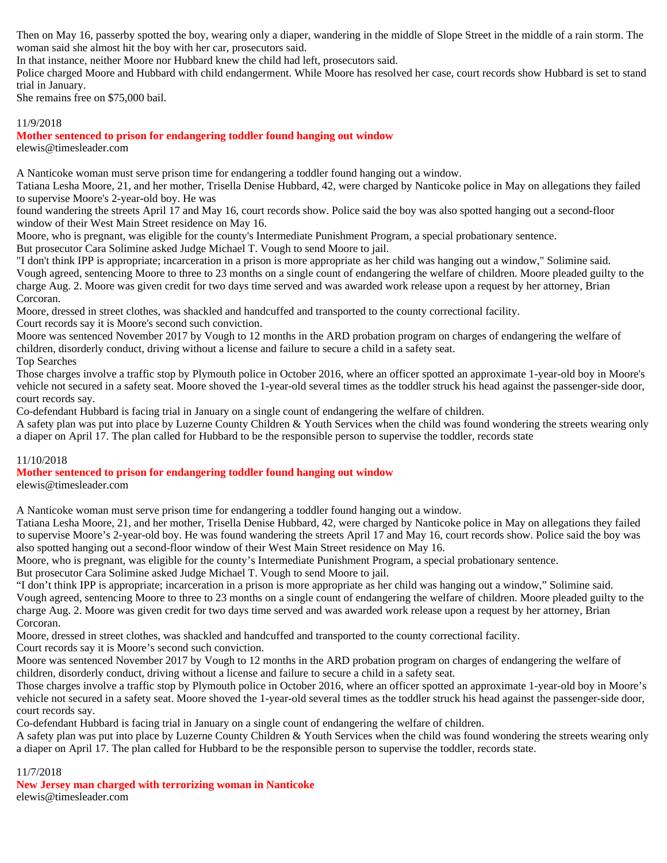Then on May 16, passerby spotted the boy, wearing only a diaper, wandering in the middle of Slope Street in the middle of a rain storm. The woman said she almost hit the boy with her car, prosecutors said.

In that instance, neither Moore nor Hubbard knew the child had left, prosecutors said.

Police charged Moore and Hubbard with child endangerment. While Moore has resolved her case, court records show Hubbard is set to stand trial in January.

She remains free on \$75,000 bail.

### 11/9/2018

**Mother sentenced to prison for endangering toddler found hanging out window**

elewis@timesleader.com

A Nanticoke woman must serve prison time for endangering a toddler found hanging out a window.

Tatiana Lesha Moore, 21, and her mother, Trisella Denise Hubbard, 42, were charged by Nanticoke police in May on allegations they failed to supervise Moore's 2-year-old boy. He was

found wandering the streets April 17 and May 16, court records show. Police said the boy was also spotted hanging out a second-floor window of their West Main Street residence on May 16.

Moore, who is pregnant, was eligible for the county's Intermediate Punishment Program, a special probationary sentence.

But prosecutor Cara Solimine asked Judge Michael T. Vough to send Moore to jail.

"I don't think IPP is appropriate; incarceration in a prison is more appropriate as her child was hanging out a window," Solimine said. Vough agreed, sentencing Moore to three to 23 months on a single count of endangering the welfare of children. Moore pleaded guilty to the charge Aug. 2. Moore was given credit for two days time served and was awarded work release upon a request by her attorney, Brian Corcoran.

Moore, dressed in street clothes, was shackled and handcuffed and transported to the county correctional facility.

Court records say it is Moore's second such conviction.

Moore was sentenced November 2017 by Vough to 12 months in the ARD probation program on charges of endangering the welfare of children, disorderly conduct, driving without a license and failure to secure a child in a safety seat.

Top Searches

Those charges involve a traffic stop by Plymouth police in October 2016, where an officer spotted an approximate 1-year-old boy in Moore's vehicle not secured in a safety seat. Moore shoved the 1-year-old several times as the toddler struck his head against the passenger-side door, court records say.

Co-defendant Hubbard is facing trial in January on a single count of endangering the welfare of children.

A safety plan was put into place by Luzerne County Children & Youth Services when the child was found wondering the streets wearing only a diaper on April 17. The plan called for Hubbard to be the responsible person to supervise the toddler, records state

### 11/10/2018

**Mother sentenced to prison for endangering toddler found hanging out window**

elewis@timesleader.com

A Nanticoke woman must serve prison time for endangering a toddler found hanging out a window.

Tatiana Lesha Moore, 21, and her mother, Trisella Denise Hubbard, 42, were charged by Nanticoke police in May on allegations they failed to supervise Moore's 2-year-old boy. He was found wandering the streets April 17 and May 16, court records show. Police said the boy was also spotted hanging out a second-floor window of their West Main Street residence on May 16.

Moore, who is pregnant, was eligible for the county's Intermediate Punishment Program, a special probationary sentence.

But prosecutor Cara Solimine asked Judge Michael T. Vough to send Moore to jail.

"I don't think IPP is appropriate; incarceration in a prison is more appropriate as her child was hanging out a window," Solimine said. Vough agreed, sentencing Moore to three to 23 months on a single count of endangering the welfare of children. Moore pleaded guilty to the charge Aug. 2. Moore was given credit for two days time served and was awarded work release upon a request by her attorney, Brian Corcoran.

Moore, dressed in street clothes, was shackled and handcuffed and transported to the county correctional facility.

Court records say it is Moore's second such conviction.

Moore was sentenced November 2017 by Vough to 12 months in the ARD probation program on charges of endangering the welfare of children, disorderly conduct, driving without a license and failure to secure a child in a safety seat.

Those charges involve a traffic stop by Plymouth police in October 2016, where an officer spotted an approximate 1-year-old boy in Moore's vehicle not secured in a safety seat. Moore shoved the 1-year-old several times as the toddler struck his head against the passenger-side door, court records say.

Co-defendant Hubbard is facing trial in January on a single count of endangering the welfare of children.

A safety plan was put into place by Luzerne County Children & Youth Services when the child was found wondering the streets wearing only a diaper on April 17. The plan called for Hubbard to be the responsible person to supervise the toddler, records state.

11/7/2018

**New Jersey man charged with terrorizing woman in Nanticoke** elewis@timesleader.com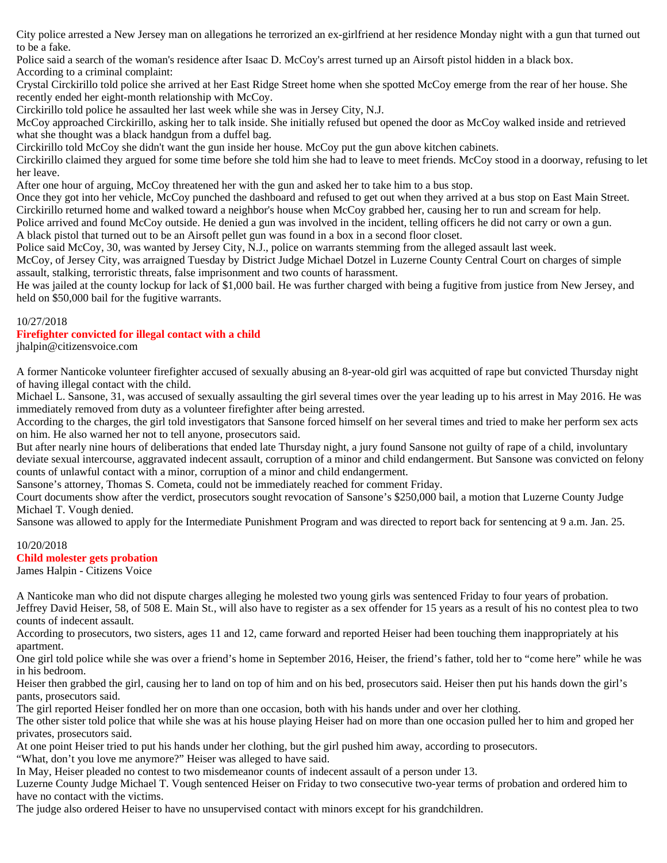City police arrested a New Jersey man on allegations he terrorized an ex-girlfriend at her residence Monday night with a gun that turned out to be a fake.

Police said a search of the woman's residence after Isaac D. McCoy's arrest turned up an Airsoft pistol hidden in a black box. According to a criminal complaint:

Crystal Circkirillo told police she arrived at her East Ridge Street home when she spotted McCoy emerge from the rear of her house. She recently ended her eight-month relationship with McCoy.

Circkirillo told police he assaulted her last week while she was in Jersey City, N.J.

McCoy approached Circkirillo, asking her to talk inside. She initially refused but opened the door as McCoy walked inside and retrieved what she thought was a black handgun from a duffel bag.

Circkirillo told McCoy she didn't want the gun inside her house. McCoy put the gun above kitchen cabinets.

Circkirillo claimed they argued for some time before she told him she had to leave to meet friends. McCoy stood in a doorway, refusing to let her leave.

After one hour of arguing, McCoy threatened her with the gun and asked her to take him to a bus stop.

Once they got into her vehicle, McCoy punched the dashboard and refused to get out when they arrived at a bus stop on East Main Street. Circkirillo returned home and walked toward a neighbor's house when McCoy grabbed her, causing her to run and scream for help.

Police arrived and found McCoy outside. He denied a gun was involved in the incident, telling officers he did not carry or own a gun. A black pistol that turned out to be an Airsoft pellet gun was found in a box in a second floor closet.

Police said McCoy, 30, was wanted by Jersey City, N.J., police on warrants stemming from the alleged assault last week.

McCoy, of Jersey City, was arraigned Tuesday by District Judge Michael Dotzel in Luzerne County Central Court on charges of simple assault, stalking, terroristic threats, false imprisonment and two counts of harassment.

He was jailed at the county lockup for lack of \$1,000 bail. He was further charged with being a fugitive from justice from New Jersey, and held on \$50,000 bail for the fugitive warrants.

#### 10/27/2018

#### **Firefighter convicted for illegal contact with a child**

jhalpin@citizensvoice.com

A former Nanticoke volunteer firefighter accused of sexually abusing an 8-year-old girl was acquitted of rape but convicted Thursday night of having illegal contact with the child.

Michael L. Sansone, 31, was accused of sexually assaulting the girl several times over the year leading up to his arrest in May 2016. He was immediately removed from duty as a volunteer firefighter after being arrested.

According to the charges, the girl told investigators that Sansone forced himself on her several times and tried to make her perform sex acts on him. He also warned her not to tell anyone, prosecutors said.

But after nearly nine hours of deliberations that ended late Thursday night, a jury found Sansone not guilty of rape of a child, involuntary deviate sexual intercourse, aggravated indecent assault, corruption of a minor and child endangerment. But Sansone was convicted on felony counts of unlawful contact with a minor, corruption of a minor and child endangerment.

Sansone's attorney, Thomas S. Cometa, could not be immediately reached for comment Friday.

Court documents show after the verdict, prosecutors sought revocation of Sansone's \$250,000 bail, a motion that Luzerne County Judge Michael T. Vough denied.

Sansone was allowed to apply for the Intermediate Punishment Program and was directed to report back for sentencing at 9 a.m. Jan. 25.

# 10/20/2018 **Child molester gets probation**

James Halpin - Citizens Voice

A Nanticoke man who did not dispute charges alleging he molested two young girls was sentenced Friday to four years of probation. Jeffrey David Heiser, 58, of 508 E. Main St., will also have to register as a sex offender for 15 years as a result of his no contest plea to two counts of indecent assault.

According to prosecutors, two sisters, ages 11 and 12, came forward and reported Heiser had been touching them inappropriately at his apartment.

One girl told police while she was over a friend's home in September 2016, Heiser, the friend's father, told her to "come here" while he was in his bedroom.

Heiser then grabbed the girl, causing her to land on top of him and on his bed, prosecutors said. Heiser then put his hands down the girl's pants, prosecutors said.

The girl reported Heiser fondled her on more than one occasion, both with his hands under and over her clothing.

The other sister told police that while she was at his house playing Heiser had on more than one occasion pulled her to him and groped her privates, prosecutors said.

At one point Heiser tried to put his hands under her clothing, but the girl pushed him away, according to prosecutors.

"What, don't you love me anymore?" Heiser was alleged to have said.

In May, Heiser pleaded no contest to two misdemeanor counts of indecent assault of a person under 13.

Luzerne County Judge Michael T. Vough sentenced Heiser on Friday to two consecutive two-year terms of probation and ordered him to have no contact with the victims.

The judge also ordered Heiser to have no unsupervised contact with minors except for his grandchildren.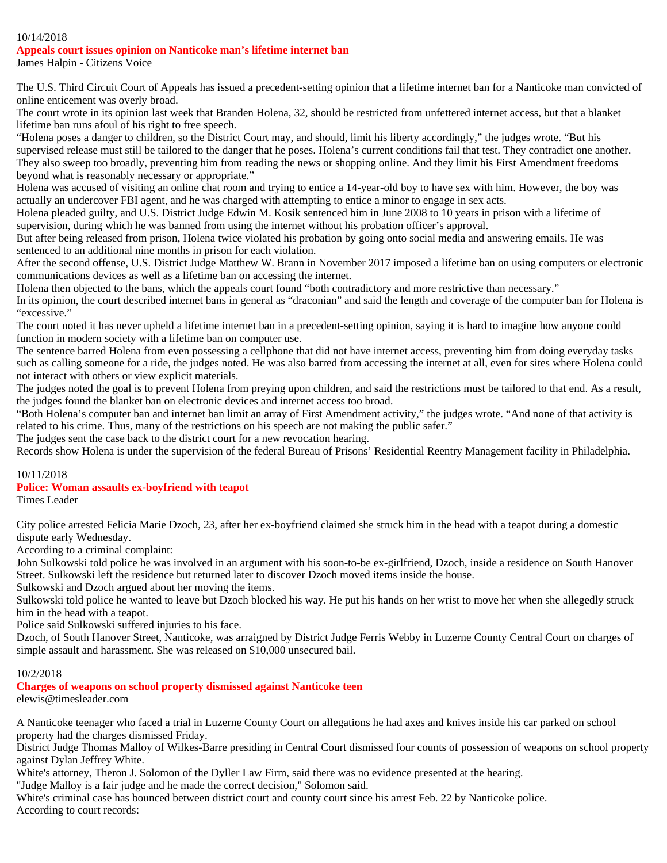#### 10/14/2018

#### **Appeals court issues opinion on Nanticoke man's lifetime internet ban**

James Halpin - Citizens Voice

The U.S. Third Circuit Court of Appeals has issued a precedent-setting opinion that a lifetime internet ban for a Nanticoke man convicted of online enticement was overly broad.

The court wrote in its opinion last week that Branden Holena, 32, should be restricted from unfettered internet access, but that a blanket lifetime ban runs afoul of his right to free speech.

"Holena poses a danger to children, so the District Court may, and should, limit his liberty accordingly," the judges wrote. "But his supervised release must still be tailored to the danger that he poses. Holena's current conditions fail that test. They contradict one another. They also sweep too broadly, preventing him from reading the news or shopping online. And they limit his First Amendment freedoms beyond what is reasonably necessary or appropriate."

Holena was accused of visiting an online chat room and trying to entice a 14-year-old boy to have sex with him. However, the boy was actually an undercover FBI agent, and he was charged with attempting to entice a minor to engage in sex acts.

Holena pleaded guilty, and U.S. District Judge Edwin M. Kosik sentenced him in June 2008 to 10 years in prison with a lifetime of supervision, during which he was banned from using the internet without his probation officer's approval.

But after being released from prison, Holena twice violated his probation by going onto social media and answering emails. He was sentenced to an additional nine months in prison for each violation.

After the second offense, U.S. District Judge Matthew W. Brann in November 2017 imposed a lifetime ban on using computers or electronic communications devices as well as a lifetime ban on accessing the internet.

Holena then objected to the bans, which the appeals court found "both contradictory and more restrictive than necessary."

In its opinion, the court described internet bans in general as "draconian" and said the length and coverage of the computer ban for Holena is "excessive."

The court noted it has never upheld a lifetime internet ban in a precedent-setting opinion, saying it is hard to imagine how anyone could function in modern society with a lifetime ban on computer use.

The sentence barred Holena from even possessing a cellphone that did not have internet access, preventing him from doing everyday tasks such as calling someone for a ride, the judges noted. He was also barred from accessing the internet at all, even for sites where Holena could not interact with others or view explicit materials.

The judges noted the goal is to prevent Holena from preying upon children, and said the restrictions must be tailored to that end. As a result, the judges found the blanket ban on electronic devices and internet access too broad.

"Both Holena's computer ban and internet ban limit an array of First Amendment activity," the judges wrote. "And none of that activity is related to his crime. Thus, many of the restrictions on his speech are not making the public safer."

The judges sent the case back to the district court for a new revocation hearing.

Records show Holena is under the supervision of the federal Bureau of Prisons' Residential Reentry Management facility in Philadelphia.

10/11/2018

## **Police: Woman assaults ex-boyfriend with teapot**

Times Leader

City police arrested Felicia Marie Dzoch, 23, after her ex-boyfriend claimed she struck him in the head with a teapot during a domestic dispute early Wednesday.

According to a criminal complaint:

John Sulkowski told police he was involved in an argument with his soon-to-be ex-girlfriend, Dzoch, inside a residence on South Hanover Street. Sulkowski left the residence but returned later to discover Dzoch moved items inside the house.

Sulkowski and Dzoch argued about her moving the items.

Sulkowski told police he wanted to leave but Dzoch blocked his way. He put his hands on her wrist to move her when she allegedly struck him in the head with a teapot.

Police said Sulkowski suffered injuries to his face.

Dzoch, of South Hanover Street, Nanticoke, was arraigned by District Judge Ferris Webby in Luzerne County Central Court on charges of simple assault and harassment. She was released on \$10,000 unsecured bail.

#### 10/2/2018

**Charges of weapons on school property dismissed against Nanticoke teen**

elewis@timesleader.com

A Nanticoke teenager who faced a trial in Luzerne County Court on allegations he had axes and knives inside his car parked on school property had the charges dismissed Friday.

District Judge Thomas Malloy of Wilkes-Barre presiding in Central Court dismissed four counts of possession of weapons on school property against Dylan Jeffrey White.

White's attorney, Theron J. Solomon of the Dyller Law Firm, said there was no evidence presented at the hearing.

"Judge Malloy is a fair judge and he made the correct decision," Solomon said.

White's criminal case has bounced between district court and county court since his arrest Feb. 22 by Nanticoke police. According to court records: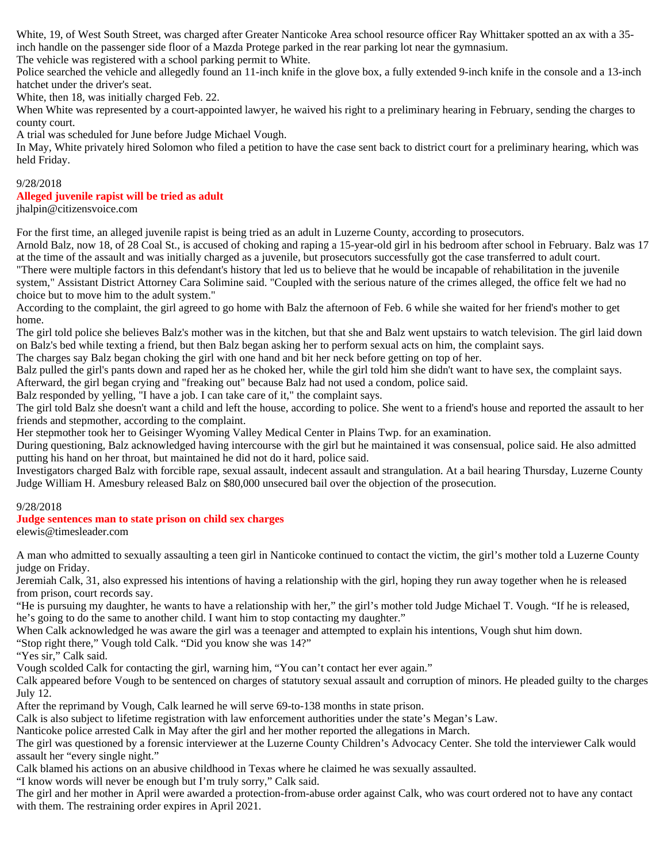White, 19, of West South Street, was charged after Greater Nanticoke Area school resource officer Ray Whittaker spotted an ax with a 35 inch handle on the passenger side floor of a Mazda Protege parked in the rear parking lot near the gymnasium.

The vehicle was registered with a school parking permit to White.

Police searched the vehicle and allegedly found an 11-inch knife in the glove box, a fully extended 9-inch knife in the console and a 13-inch hatchet under the driver's seat.

White, then 18, was initially charged Feb. 22.

When White was represented by a court-appointed lawyer, he waived his right to a preliminary hearing in February, sending the charges to county court.

A trial was scheduled for June before Judge Michael Vough.

In May, White privately hired Solomon who filed a petition to have the case sent back to district court for a preliminary hearing, which was held Friday.

### 9/28/2018

### **Alleged juvenile rapist will be tried as adult**

jhalpin@citizensvoice.com

For the first time, an alleged juvenile rapist is being tried as an adult in Luzerne County, according to prosecutors.

Arnold Balz, now 18, of 28 Coal St., is accused of choking and raping a 15-year-old girl in his bedroom after school in February. Balz was 17 at the time of the assault and was initially charged as a juvenile, but prosecutors successfully got the case transferred to adult court. "There were multiple factors in this defendant's history that led us to believe that he would be incapable of rehabilitation in the juvenile system," Assistant District Attorney Cara Solimine said. "Coupled with the serious nature of the crimes alleged, the office felt we had no choice but to move him to the adult system."

According to the complaint, the girl agreed to go home with Balz the afternoon of Feb. 6 while she waited for her friend's mother to get home.

The girl told police she believes Balz's mother was in the kitchen, but that she and Balz went upstairs to watch television. The girl laid down on Balz's bed while texting a friend, but then Balz began asking her to perform sexual acts on him, the complaint says.

The charges say Balz began choking the girl with one hand and bit her neck before getting on top of her.

Balz pulled the girl's pants down and raped her as he choked her, while the girl told him she didn't want to have sex, the complaint says. Afterward, the girl began crying and "freaking out" because Balz had not used a condom, police said.

Balz responded by yelling, "I have a job. I can take care of it," the complaint says.

The girl told Balz she doesn't want a child and left the house, according to police. She went to a friend's house and reported the assault to her friends and stepmother, according to the complaint.

Her stepmother took her to Geisinger Wyoming Valley Medical Center in Plains Twp. for an examination.

During questioning, Balz acknowledged having intercourse with the girl but he maintained it was consensual, police said. He also admitted putting his hand on her throat, but maintained he did not do it hard, police said.

Investigators charged Balz with forcible rape, sexual assault, indecent assault and strangulation. At a bail hearing Thursday, Luzerne County Judge William H. Amesbury released Balz on \$80,000 unsecured bail over the objection of the prosecution.

### 9/28/2018

### **Judge sentences man to state prison on child sex charges**

elewis@timesleader.com

A man who admitted to sexually assaulting a teen girl in Nanticoke continued to contact the victim, the girl's mother told a Luzerne County judge on Friday.

Jeremiah Calk, 31, also expressed his intentions of having a relationship with the girl, hoping they run away together when he is released from prison, court records say.

"He is pursuing my daughter, he wants to have a relationship with her," the girl's mother told Judge Michael T. Vough. "If he is released, he's going to do the same to another child. I want him to stop contacting my daughter."

When Calk acknowledged he was aware the girl was a teenager and attempted to explain his intentions, Vough shut him down.

"Stop right there," Vough told Calk. "Did you know she was 14?"

"Yes sir," Calk said.

Vough scolded Calk for contacting the girl, warning him, "You can't contact her ever again."

Calk appeared before Vough to be sentenced on charges of statutory sexual assault and corruption of minors. He pleaded guilty to the charges July 12.

After the reprimand by Vough, Calk learned he will serve 69-to-138 months in state prison.

Calk is also subject to lifetime registration with law enforcement authorities under the state's Megan's Law.

Nanticoke police arrested Calk in May after the girl and her mother reported the allegations in March.

The girl was questioned by a forensic interviewer at the Luzerne County Children's Advocacy Center. She told the interviewer Calk would assault her "every single night."

Calk blamed his actions on an abusive childhood in Texas where he claimed he was sexually assaulted.

"I know words will never be enough but I'm truly sorry," Calk said.

The girl and her mother in April were awarded a protection-from-abuse order against Calk, who was court ordered not to have any contact with them. The restraining order expires in April 2021.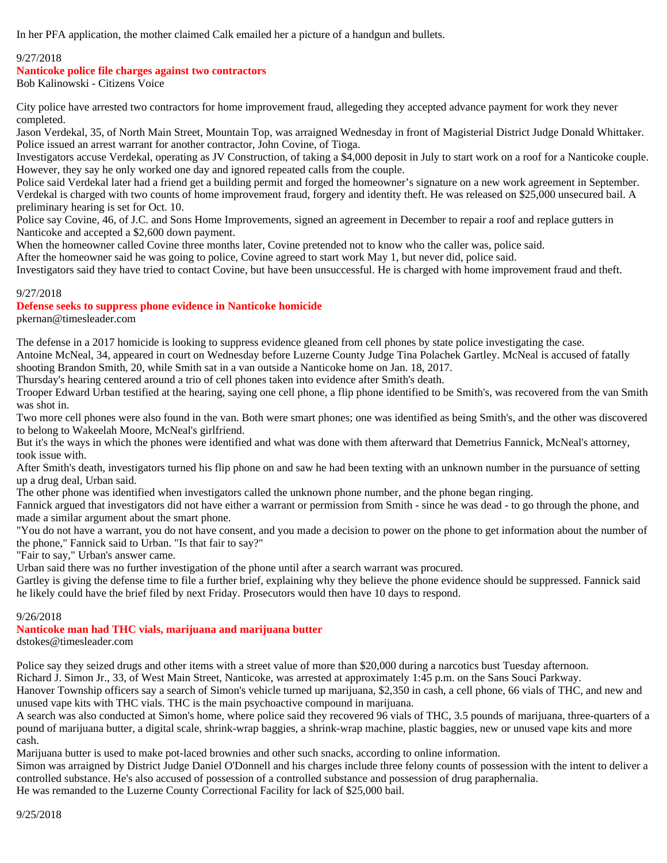In her PFA application, the mother claimed Calk emailed her a picture of a handgun and bullets.

### 9/27/2018

### **Nanticoke police file charges against two contractors**

Bob Kalinowski - Citizens Voice

City police have arrested two contractors for home improvement fraud, allegeding they accepted advance payment for work they never completed.

Jason Verdekal, 35, of North Main Street, Mountain Top, was arraigned Wednesday in front of Magisterial District Judge Donald Whittaker. Police issued an arrest warrant for another contractor, John Covine, of Tioga.

Investigators accuse Verdekal, operating as JV Construction, of taking a \$4,000 deposit in July to start work on a roof for a Nanticoke couple. However, they say he only worked one day and ignored repeated calls from the couple.

Police said Verdekal later had a friend get a building permit and forged the homeowner's signature on a new work agreement in September. Verdekal is charged with two counts of home improvement fraud, forgery and identity theft. He was released on \$25,000 unsecured bail. A preliminary hearing is set for Oct. 10.

Police say Covine, 46, of J.C. and Sons Home Improvements, signed an agreement in December to repair a roof and replace gutters in Nanticoke and accepted a \$2,600 down payment.

When the homeowner called Covine three months later, Covine pretended not to know who the caller was, police said.

After the homeowner said he was going to police, Covine agreed to start work May 1, but never did, police said.

Investigators said they have tried to contact Covine, but have been unsuccessful. He is charged with home improvement fraud and theft.

### 9/27/2018

**Defense seeks to suppress phone evidence in Nanticoke homicide**

pkernan@timesleader.com

The defense in a 2017 homicide is looking to suppress evidence gleaned from cell phones by state police investigating the case. Antoine McNeal, 34, appeared in court on Wednesday before Luzerne County Judge Tina Polachek Gartley. McNeal is accused of fatally shooting Brandon Smith, 20, while Smith sat in a van outside a Nanticoke home on Jan. 18, 2017.

Thursday's hearing centered around a trio of cell phones taken into evidence after Smith's death.

Trooper Edward Urban testified at the hearing, saying one cell phone, a flip phone identified to be Smith's, was recovered from the van Smith was shot in.

Two more cell phones were also found in the van. Both were smart phones; one was identified as being Smith's, and the other was discovered to belong to Wakeelah Moore, McNeal's girlfriend.

But it's the ways in which the phones were identified and what was done with them afterward that Demetrius Fannick, McNeal's attorney, took issue with.

After Smith's death, investigators turned his flip phone on and saw he had been texting with an unknown number in the pursuance of setting up a drug deal, Urban said.

The other phone was identified when investigators called the unknown phone number, and the phone began ringing.

Fannick argued that investigators did not have either a warrant or permission from Smith - since he was dead - to go through the phone, and made a similar argument about the smart phone.

"You do not have a warrant, you do not have consent, and you made a decision to power on the phone to get information about the number of the phone," Fannick said to Urban. "Is that fair to say?"

"Fair to say," Urban's answer came.

Urban said there was no further investigation of the phone until after a search warrant was procured.

Gartley is giving the defense time to file a further brief, explaining why they believe the phone evidence should be suppressed. Fannick said he likely could have the brief filed by next Friday. Prosecutors would then have 10 days to respond.

### 9/26/2018

**Nanticoke man had THC vials, marijuana and marijuana butter** dstokes@timesleader.com

Police say they seized drugs and other items with a street value of more than \$20,000 during a narcotics bust Tuesday afternoon.

Richard J. Simon Jr., 33, of West Main Street, Nanticoke, was arrested at approximately 1:45 p.m. on the Sans Souci Parkway.

Hanover Township officers say a search of Simon's vehicle turned up marijuana, \$2,350 in cash, a cell phone, 66 vials of THC, and new and unused vape kits with THC vials. THC is the main psychoactive compound in marijuana.

A search was also conducted at Simon's home, where police said they recovered 96 vials of THC, 3.5 pounds of marijuana, three-quarters of a pound of marijuana butter, a digital scale, shrink-wrap baggies, a shrink-wrap machine, plastic baggies, new or unused vape kits and more cash.

Marijuana butter is used to make pot-laced brownies and other such snacks, according to online information.

Simon was arraigned by District Judge Daniel O'Donnell and his charges include three felony counts of possession with the intent to deliver a controlled substance. He's also accused of possession of a controlled substance and possession of drug paraphernalia.

He was remanded to the Luzerne County Correctional Facility for lack of \$25,000 bail.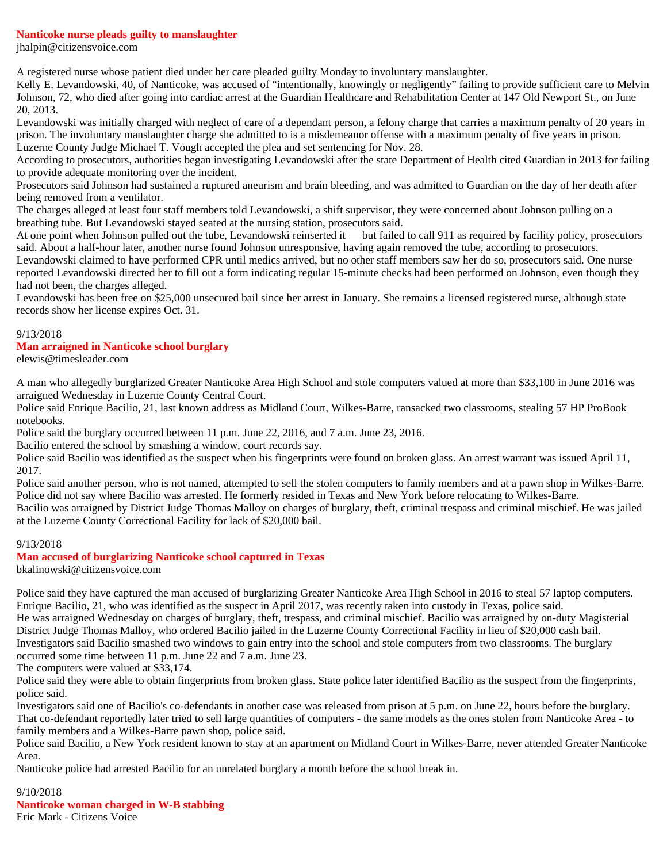#### **Nanticoke nurse pleads guilty to manslaughter**

jhalpin@citizensvoice.com

A registered nurse whose patient died under her care pleaded guilty Monday to involuntary manslaughter.

Kelly E. Levandowski, 40, of Nanticoke, was accused of "intentionally, knowingly or negligently" failing to provide sufficient care to Melvin Johnson, 72, who died after going into cardiac arrest at the Guardian Healthcare and Rehabilitation Center at 147 Old Newport St., on June 20, 2013.

Levandowski was initially charged with neglect of care of a dependant person, a felony charge that carries a maximum penalty of 20 years in prison. The involuntary manslaughter charge she admitted to is a misdemeanor offense with a maximum penalty of five years in prison. Luzerne County Judge Michael T. Vough accepted the plea and set sentencing for Nov. 28.

According to prosecutors, authorities began investigating Levandowski after the state Department of Health cited Guardian in 2013 for failing to provide adequate monitoring over the incident.

Prosecutors said Johnson had sustained a ruptured aneurism and brain bleeding, and was admitted to Guardian on the day of her death after being removed from a ventilator.

The charges alleged at least four staff members told Levandowski, a shift supervisor, they were concerned about Johnson pulling on a breathing tube. But Levandowski stayed seated at the nursing station, prosecutors said.

At one point when Johnson pulled out the tube, Levandowski reinserted it — but failed to call 911 as required by facility policy, prosecutors said. About a half-hour later, another nurse found Johnson unresponsive, having again removed the tube, according to prosecutors.

Levandowski claimed to have performed CPR until medics arrived, but no other staff members saw her do so, prosecutors said. One nurse reported Levandowski directed her to fill out a form indicating regular 15-minute checks had been performed on Johnson, even though they had not been, the charges alleged.

Levandowski has been free on \$25,000 unsecured bail since her arrest in January. She remains a licensed registered nurse, although state records show her license expires Oct. 31.

#### 9/13/2018

# **Man arraigned in Nanticoke school burglary**

elewis@timesleader.com

A man who allegedly burglarized Greater Nanticoke Area High School and stole computers valued at more than \$33,100 in June 2016 was arraigned Wednesday in Luzerne County Central Court.

Police said Enrique Bacilio, 21, last known address as Midland Court, Wilkes-Barre, ransacked two classrooms, stealing 57 HP ProBook notebooks.

Police said the burglary occurred between 11 p.m. June 22, 2016, and 7 a.m. June 23, 2016.

Bacilio entered the school by smashing a window, court records say.

Police said Bacilio was identified as the suspect when his fingerprints were found on broken glass. An arrest warrant was issued April 11, 2017.

Police said another person, who is not named, attempted to sell the stolen computers to family members and at a pawn shop in Wilkes-Barre. Police did not say where Bacilio was arrested. He formerly resided in Texas and New York before relocating to Wilkes-Barre.

Bacilio was arraigned by District Judge Thomas Malloy on charges of burglary, theft, criminal trespass and criminal mischief. He was jailed at the Luzerne County Correctional Facility for lack of \$20,000 bail.

#### 9/13/2018

### **Man accused of burglarizing Nanticoke school captured in Texas**

bkalinowski@citizensvoice.com

Police said they have captured the man accused of burglarizing Greater Nanticoke Area High School in 2016 to steal 57 laptop computers. Enrique Bacilio, 21, who was identified as the suspect in April 2017, was recently taken into custody in Texas, police said. He was arraigned Wednesday on charges of burglary, theft, trespass, and criminal mischief. Bacilio was arraigned by on-duty Magisterial District Judge Thomas Malloy, who ordered Bacilio jailed in the Luzerne County Correctional Facility in lieu of \$20,000 cash bail. Investigators said Bacilio smashed two windows to gain entry into the school and stole computers from two classrooms. The burglary occurred some time between 11 p.m. June 22 and 7 a.m. June 23.

The computers were valued at \$33,174.

Police said they were able to obtain fingerprints from broken glass. State police later identified Bacilio as the suspect from the fingerprints, police said.

Investigators said one of Bacilio's co-defendants in another case was released from prison at 5 p.m. on June 22, hours before the burglary. That co-defendant reportedly later tried to sell large quantities of computers - the same models as the ones stolen from Nanticoke Area - to family members and a Wilkes-Barre pawn shop, police said.

Police said Bacilio, a New York resident known to stay at an apartment on Midland Court in Wilkes-Barre, never attended Greater Nanticoke Area.

Nanticoke police had arrested Bacilio for an unrelated burglary a month before the school break in.

9/10/2018 **Nanticoke woman charged in W-B stabbing** Eric Mark - Citizens Voice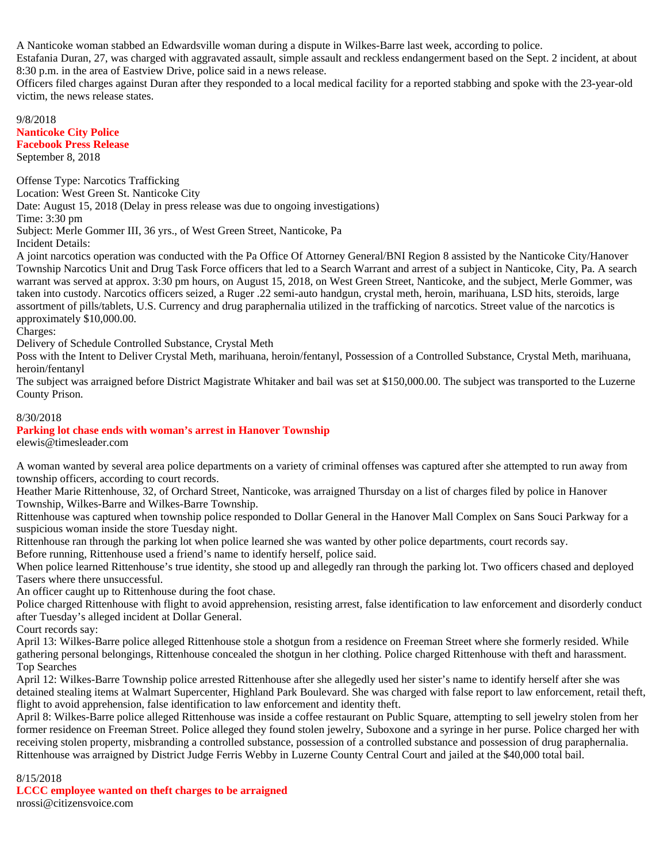A Nanticoke woman stabbed an Edwardsville woman during a dispute in Wilkes-Barre last week, according to police.

Estafania Duran, 27, was charged with aggravated assault, simple assault and reckless endangerment based on the Sept. 2 incident, at about 8:30 p.m. in the area of Eastview Drive, police said in a news release.

Officers filed charges against Duran after they responded to a local medical facility for a reported stabbing and spoke with the 23-year-old victim, the news release states.

9/8/2018 **Nanticoke City Police Facebook Press Release** September 8, 2018

Offense Type: Narcotics Trafficking Location: West Green St. Nanticoke City Date: August 15, 2018 (Delay in press release was due to ongoing investigations) Time: 3:30 pm Subject: Merle Gommer III, 36 yrs., of West Green Street, Nanticoke, Pa Incident Details: A joint narcotics operation was conducted with the Pa Office Of Attorney General/BNI Region 8 assisted by the Nanticoke City/Hanover

Township Narcotics Unit and Drug Task Force officers that led to a Search Warrant and arrest of a subject in Nanticoke, City, Pa. A search warrant was served at approx. 3:30 pm hours, on August 15, 2018, on West Green Street, Nanticoke, and the subject, Merle Gommer, was taken into custody. Narcotics officers seized, a Ruger .22 semi-auto handgun, crystal meth, heroin, marihuana, LSD hits, steroids, large assortment of pills/tablets, U.S. Currency and drug paraphernalia utilized in the trafficking of narcotics. Street value of the narcotics is approximately \$10,000.00.

Charges:

Delivery of Schedule Controlled Substance, Crystal Meth

Poss with the Intent to Deliver Crystal Meth, marihuana, heroin/fentanyl, Possession of a Controlled Substance, Crystal Meth, marihuana, heroin/fentanyl

The subject was arraigned before District Magistrate Whitaker and bail was set at \$150,000.00. The subject was transported to the Luzerne County Prison.

#### 8/30/2018

### **Parking lot chase ends with woman's arrest in Hanover Township**

elewis@timesleader.com

A woman wanted by several area police departments on a variety of criminal offenses was captured after she attempted to run away from township officers, according to court records.

Heather Marie Rittenhouse, 32, of Orchard Street, Nanticoke, was arraigned Thursday on a list of charges filed by police in Hanover Township, Wilkes-Barre and Wilkes-Barre Township.

Rittenhouse was captured when township police responded to Dollar General in the Hanover Mall Complex on Sans Souci Parkway for a suspicious woman inside the store Tuesday night.

Rittenhouse ran through the parking lot when police learned she was wanted by other police departments, court records say.

Before running, Rittenhouse used a friend's name to identify herself, police said.

When police learned Rittenhouse's true identity, she stood up and allegedly ran through the parking lot. Two officers chased and deployed Tasers where there unsuccessful.

An officer caught up to Rittenhouse during the foot chase.

Police charged Rittenhouse with flight to avoid apprehension, resisting arrest, false identification to law enforcement and disorderly conduct after Tuesday's alleged incident at Dollar General.

Court records say:

April 13: Wilkes-Barre police alleged Rittenhouse stole a shotgun from a residence on Freeman Street where she formerly resided. While gathering personal belongings, Rittenhouse concealed the shotgun in her clothing. Police charged Rittenhouse with theft and harassment. Top Searches

April 12: Wilkes-Barre Township police arrested Rittenhouse after she allegedly used her sister's name to identify herself after she was detained stealing items at Walmart Supercenter, Highland Park Boulevard. She was charged with false report to law enforcement, retail theft, flight to avoid apprehension, false identification to law enforcement and identity theft.

April 8: Wilkes-Barre police alleged Rittenhouse was inside a coffee restaurant on Public Square, attempting to sell jewelry stolen from her former residence on Freeman Street. Police alleged they found stolen jewelry, Suboxone and a syringe in her purse. Police charged her with receiving stolen property, misbranding a controlled substance, possession of a controlled substance and possession of drug paraphernalia. Rittenhouse was arraigned by District Judge Ferris Webby in Luzerne County Central Court and jailed at the \$40,000 total bail.

#### 8/15/2018

**LCCC employee wanted on theft charges to be arraigned**

nrossi@citizensvoice.com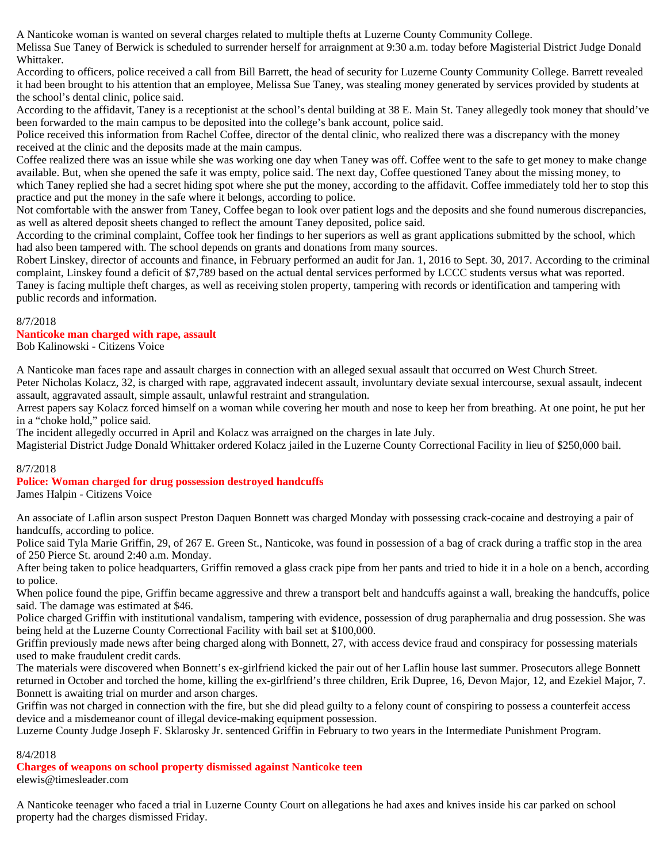A Nanticoke woman is wanted on several charges related to multiple thefts at Luzerne County Community College.

Melissa Sue Taney of Berwick is scheduled to surrender herself for arraignment at 9:30 a.m. today before Magisterial District Judge Donald Whittaker.

According to officers, police received a call from Bill Barrett, the head of security for Luzerne County Community College. Barrett revealed it had been brought to his attention that an employee, Melissa Sue Taney, was stealing money generated by services provided by students at the school's dental clinic, police said.

According to the affidavit, Taney is a receptionist at the school's dental building at 38 E. Main St. Taney allegedly took money that should've been forwarded to the main campus to be deposited into the college's bank account, police said.

Police received this information from Rachel Coffee, director of the dental clinic, who realized there was a discrepancy with the money received at the clinic and the deposits made at the main campus.

Coffee realized there was an issue while she was working one day when Taney was off. Coffee went to the safe to get money to make change available. But, when she opened the safe it was empty, police said. The next day, Coffee questioned Taney about the missing money, to which Taney replied she had a secret hiding spot where she put the money, according to the affidavit. Coffee immediately told her to stop this practice and put the money in the safe where it belongs, according to police.

Not comfortable with the answer from Taney, Coffee began to look over patient logs and the deposits and she found numerous discrepancies, as well as altered deposit sheets changed to reflect the amount Taney deposited, police said.

According to the criminal complaint, Coffee took her findings to her superiors as well as grant applications submitted by the school, which had also been tampered with. The school depends on grants and donations from many sources.

Robert Linskey, director of accounts and finance, in February performed an audit for Jan. 1, 2016 to Sept. 30, 2017. According to the criminal complaint, Linskey found a deficit of \$7,789 based on the actual dental services performed by LCCC students versus what was reported. Taney is facing multiple theft charges, as well as receiving stolen property, tampering with records or identification and tampering with public records and information.

#### 8/7/2018

### **Nanticoke man charged with rape, assault**

Bob Kalinowski - Citizens Voice

A Nanticoke man faces rape and assault charges in connection with an alleged sexual assault that occurred on West Church Street. Peter Nicholas Kolacz, 32, is charged with rape, aggravated indecent assault, involuntary deviate sexual intercourse, sexual assault, indecent assault, aggravated assault, simple assault, unlawful restraint and strangulation.

Arrest papers say Kolacz forced himself on a woman while covering her mouth and nose to keep her from breathing. At one point, he put her in a "choke hold," police said.

The incident allegedly occurred in April and Kolacz was arraigned on the charges in late July.

Magisterial District Judge Donald Whittaker ordered Kolacz jailed in the Luzerne County Correctional Facility in lieu of \$250,000 bail.

### 8/7/2018

### **Police: Woman charged for drug possession destroyed handcuffs**

James Halpin - Citizens Voice

An associate of Laflin arson suspect Preston Daquen Bonnett was charged Monday with possessing crack-cocaine and destroying a pair of handcuffs, according to police.

Police said Tyla Marie Griffin, 29, of 267 E. Green St., Nanticoke, was found in possession of a bag of crack during a traffic stop in the area of 250 Pierce St. around 2:40 a.m. Monday.

After being taken to police headquarters, Griffin removed a glass crack pipe from her pants and tried to hide it in a hole on a bench, according to police.

When police found the pipe, Griffin became aggressive and threw a transport belt and handcuffs against a wall, breaking the handcuffs, police said. The damage was estimated at \$46.

Police charged Griffin with institutional vandalism, tampering with evidence, possession of drug paraphernalia and drug possession. She was being held at the Luzerne County Correctional Facility with bail set at \$100,000.

Griffin previously made news after being charged along with Bonnett, 27, with access device fraud and conspiracy for possessing materials used to make fraudulent credit cards.

The materials were discovered when Bonnett's ex-girlfriend kicked the pair out of her Laflin house last summer. Prosecutors allege Bonnett returned in October and torched the home, killing the ex-girlfriend's three children, Erik Dupree, 16, Devon Major, 12, and Ezekiel Major, 7. Bonnett is awaiting trial on murder and arson charges.

Griffin was not charged in connection with the fire, but she did plead guilty to a felony count of conspiring to possess a counterfeit access device and a misdemeanor count of illegal device-making equipment possession.

Luzerne County Judge Joseph F. Sklarosky Jr. sentenced Griffin in February to two years in the Intermediate Punishment Program.

### 8/4/2018

**Charges of weapons on school property dismissed against Nanticoke teen**

elewis@timesleader.com

A Nanticoke teenager who faced a trial in Luzerne County Court on allegations he had axes and knives inside his car parked on school property had the charges dismissed Friday.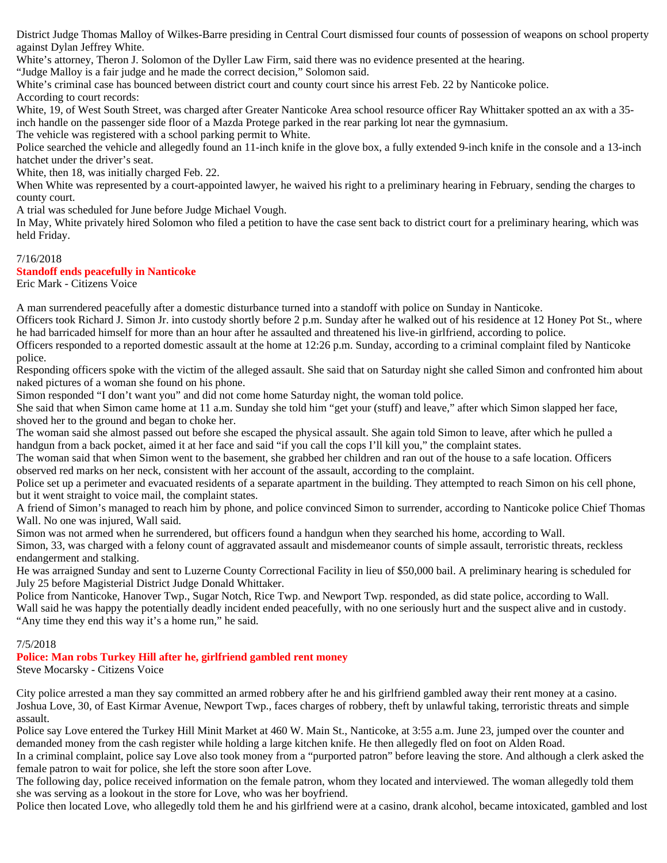District Judge Thomas Malloy of Wilkes-Barre presiding in Central Court dismissed four counts of possession of weapons on school property against Dylan Jeffrey White.

White's attorney, Theron J. Solomon of the Dyller Law Firm, said there was no evidence presented at the hearing.

"Judge Malloy is a fair judge and he made the correct decision," Solomon said.

White's criminal case has bounced between district court and county court since his arrest Feb. 22 by Nanticoke police.

According to court records:

White, 19, of West South Street, was charged after Greater Nanticoke Area school resource officer Ray Whittaker spotted an ax with a 35 inch handle on the passenger side floor of a Mazda Protege parked in the rear parking lot near the gymnasium.

The vehicle was registered with a school parking permit to White.

Police searched the vehicle and allegedly found an 11-inch knife in the glove box, a fully extended 9-inch knife in the console and a 13-inch hatchet under the driver's seat.

White, then 18, was initially charged Feb. 22.

When White was represented by a court-appointed lawyer, he waived his right to a preliminary hearing in February, sending the charges to county court.

A trial was scheduled for June before Judge Michael Vough.

In May, White privately hired Solomon who filed a petition to have the case sent back to district court for a preliminary hearing, which was held Friday.

### 7/16/2018

### **Standoff ends peacefully in Nanticoke**

Eric Mark - Citizens Voice

A man surrendered peacefully after a domestic disturbance turned into a standoff with police on Sunday in Nanticoke.

Officers took Richard J. Simon Jr. into custody shortly before 2 p.m. Sunday after he walked out of his residence at 12 Honey Pot St., where he had barricaded himself for more than an hour after he assaulted and threatened his live-in girlfriend, according to police.

Officers responded to a reported domestic assault at the home at 12:26 p.m. Sunday, according to a criminal complaint filed by Nanticoke police.

Responding officers spoke with the victim of the alleged assault. She said that on Saturday night she called Simon and confronted him about naked pictures of a woman she found on his phone.

Simon responded "I don't want you" and did not come home Saturday night, the woman told police.

She said that when Simon came home at 11 a.m. Sunday she told him "get your (stuff) and leave," after which Simon slapped her face, shoved her to the ground and began to choke her.

The woman said she almost passed out before she escaped the physical assault. She again told Simon to leave, after which he pulled a handgun from a back pocket, aimed it at her face and said "if you call the cops I'll kill you," the complaint states.

The woman said that when Simon went to the basement, she grabbed her children and ran out of the house to a safe location. Officers observed red marks on her neck, consistent with her account of the assault, according to the complaint.

Police set up a perimeter and evacuated residents of a separate apartment in the building. They attempted to reach Simon on his cell phone, but it went straight to voice mail, the complaint states.

A friend of Simon's managed to reach him by phone, and police convinced Simon to surrender, according to Nanticoke police Chief Thomas Wall. No one was injured, Wall said.

Simon was not armed when he surrendered, but officers found a handgun when they searched his home, according to Wall.

Simon, 33, was charged with a felony count of aggravated assault and misdemeanor counts of simple assault, terroristic threats, reckless endangerment and stalking.

He was arraigned Sunday and sent to Luzerne County Correctional Facility in lieu of \$50,000 bail. A preliminary hearing is scheduled for July 25 before Magisterial District Judge Donald Whittaker.

Police from Nanticoke, Hanover Twp., Sugar Notch, Rice Twp. and Newport Twp. responded, as did state police, according to Wall. Wall said he was happy the potentially deadly incident ended peacefully, with no one seriously hurt and the suspect alive and in custody. "Any time they end this way it's a home run," he said.

### 7/5/2018

### **Police: Man robs Turkey Hill after he, girlfriend gambled rent money**

Steve Mocarsky - Citizens Voice

City police arrested a man they say committed an armed robbery after he and his girlfriend gambled away their rent money at a casino. Joshua Love, 30, of East Kirmar Avenue, Newport Twp., faces charges of robbery, theft by unlawful taking, terroristic threats and simple assault.

Police say Love entered the Turkey Hill Minit Market at 460 W. Main St., Nanticoke, at 3:55 a.m. June 23, jumped over the counter and demanded money from the cash register while holding a large kitchen knife. He then allegedly fled on foot on Alden Road.

In a criminal complaint, police say Love also took money from a "purported patron" before leaving the store. And although a clerk asked the female patron to wait for police, she left the store soon after Love.

The following day, police received information on the female patron, whom they located and interviewed. The woman allegedly told them she was serving as a lookout in the store for Love, who was her boyfriend.

Police then located Love, who allegedly told them he and his girlfriend were at a casino, drank alcohol, became intoxicated, gambled and lost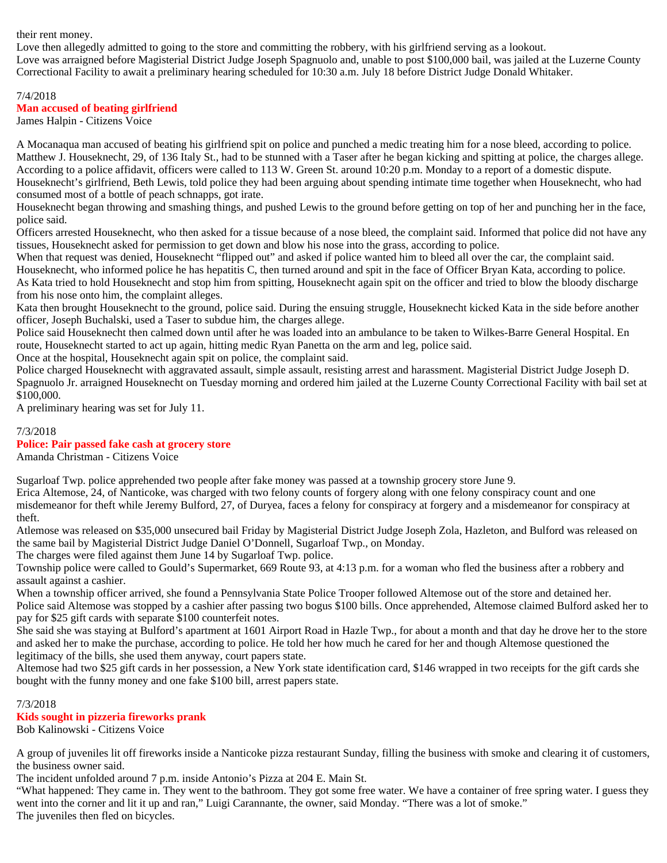their rent money.

Love then allegedly admitted to going to the store and committing the robbery, with his girlfriend serving as a lookout.

Love was arraigned before Magisterial District Judge Joseph Spagnuolo and, unable to post \$100,000 bail, was jailed at the Luzerne County Correctional Facility to await a preliminary hearing scheduled for 10:30 a.m. July 18 before District Judge Donald Whitaker.

#### 7/4/2018

#### **Man accused of beating girlfriend**

James Halpin - Citizens Voice

A Mocanaqua man accused of beating his girlfriend spit on police and punched a medic treating him for a nose bleed, according to police. Matthew J. Houseknecht, 29, of 136 Italy St., had to be stunned with a Taser after he began kicking and spitting at police, the charges allege. According to a police affidavit, officers were called to 113 W. Green St. around 10:20 p.m. Monday to a report of a domestic dispute. Houseknecht's girlfriend, Beth Lewis, told police they had been arguing about spending intimate time together when Houseknecht, who had consumed most of a bottle of peach schnapps, got irate.

Houseknecht began throwing and smashing things, and pushed Lewis to the ground before getting on top of her and punching her in the face, police said.

Officers arrested Houseknecht, who then asked for a tissue because of a nose bleed, the complaint said. Informed that police did not have any tissues, Houseknecht asked for permission to get down and blow his nose into the grass, according to police.

When that request was denied, Houseknecht "flipped out" and asked if police wanted him to bleed all over the car, the complaint said. Houseknecht, who informed police he has hepatitis C, then turned around and spit in the face of Officer Bryan Kata, according to police. As Kata tried to hold Houseknecht and stop him from spitting, Houseknecht again spit on the officer and tried to blow the bloody discharge from his nose onto him, the complaint alleges.

Kata then brought Houseknecht to the ground, police said. During the ensuing struggle, Houseknecht kicked Kata in the side before another officer, Joseph Buchalski, used a Taser to subdue him, the charges allege.

Police said Houseknecht then calmed down until after he was loaded into an ambulance to be taken to Wilkes-Barre General Hospital. En route, Houseknecht started to act up again, hitting medic Ryan Panetta on the arm and leg, police said.

Once at the hospital, Houseknecht again spit on police, the complaint said.

Police charged Houseknecht with aggravated assault, simple assault, resisting arrest and harassment. Magisterial District Judge Joseph D. Spagnuolo Jr. arraigned Houseknecht on Tuesday morning and ordered him jailed at the Luzerne County Correctional Facility with bail set at \$100,000.

A preliminary hearing was set for July 11.

### 7/3/2018

#### **Police: Pair passed fake cash at grocery store**

Amanda Christman - Citizens Voice

Sugarloaf Twp. police apprehended two people after fake money was passed at a township grocery store June 9.

Erica Altemose, 24, of Nanticoke, was charged with two felony counts of forgery along with one felony conspiracy count and one misdemeanor for theft while Jeremy Bulford, 27, of Duryea, faces a felony for conspiracy at forgery and a misdemeanor for conspiracy at theft.

Atlemose was released on \$35,000 unsecured bail Friday by Magisterial District Judge Joseph Zola, Hazleton, and Bulford was released on the same bail by Magisterial District Judge Daniel O'Donnell, Sugarloaf Twp., on Monday.

The charges were filed against them June 14 by Sugarloaf Twp. police.

Township police were called to Gould's Supermarket, 669 Route 93, at 4:13 p.m. for a woman who fled the business after a robbery and assault against a cashier.

When a township officer arrived, she found a Pennsylvania State Police Trooper followed Altemose out of the store and detained her. Police said Altemose was stopped by a cashier after passing two bogus \$100 bills. Once apprehended, Altemose claimed Bulford asked her to pay for \$25 gift cards with separate \$100 counterfeit notes.

She said she was staying at Bulford's apartment at 1601 Airport Road in Hazle Twp., for about a month and that day he drove her to the store and asked her to make the purchase, according to police. He told her how much he cared for her and though Altemose questioned the legitimacy of the bills, she used them anyway, court papers state.

Altemose had two \$25 gift cards in her possession, a New York state identification card, \$146 wrapped in two receipts for the gift cards she bought with the funny money and one fake \$100 bill, arrest papers state.

#### 7/3/2018

### **Kids sought in pizzeria fireworks prank**

Bob Kalinowski - Citizens Voice

A group of juveniles lit off fireworks inside a Nanticoke pizza restaurant Sunday, filling the business with smoke and clearing it of customers, the business owner said.

The incident unfolded around 7 p.m. inside Antonio's Pizza at 204 E. Main St.

"What happened: They came in. They went to the bathroom. They got some free water. We have a container of free spring water. I guess they went into the corner and lit it up and ran," Luigi Carannante, the owner, said Monday. "There was a lot of smoke." The juveniles then fled on bicycles.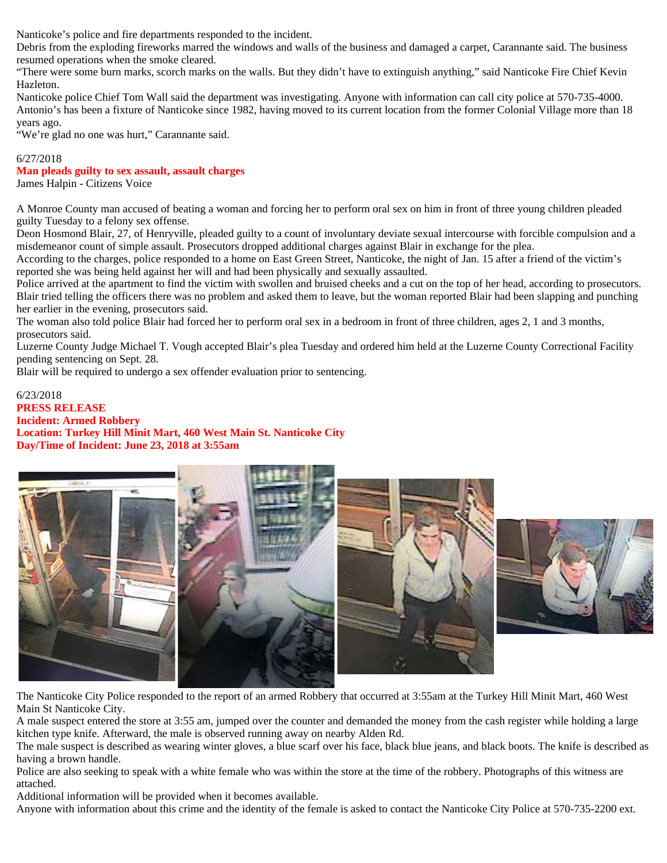Nanticoke's police and fire departments responded to the incident.

Debris from the exploding fireworks marred the windows and walls of the business and damaged a carpet, Carannante said. The business resumed operations when the smoke cleared.

"There were some burn marks, scorch marks on the walls. But they didn't have to extinguish anything," said Nanticoke Fire Chief Kevin Hazleton.

Nanticoke police Chief Tom Wall said the department was investigating. Anyone with information can call city police at 570-735-4000. Antonio's has been a fixture of Nanticoke since 1982, having moved to its current location from the former Colonial Village more than 18 years ago.

"We're glad no one was hurt," Carannante said.

#### 6/27/2018 **Man pleads guilty to sex assault, assault charges** James Halpin - Citizens Voice

A Monroe County man accused of beating a woman and forcing her to perform oral sex on him in front of three young children pleaded guilty Tuesday to a felony sex offense.

Deon Hosmond Blair, 27, of Henryville, pleaded guilty to a count of involuntary deviate sexual intercourse with forcible compulsion and a misdemeanor count of simple assault. Prosecutors dropped additional charges against Blair in exchange for the plea.

According to the charges, police responded to a home on East Green Street, Nanticoke, the night of Jan. 15 after a friend of the victim's reported she was being held against her will and had been physically and sexually assaulted.

Police arrived at the apartment to find the victim with swollen and bruised cheeks and a cut on the top of her head, according to prosecutors. Blair tried telling the officers there was no problem and asked them to leave, but the woman reported Blair had been slapping and punching her earlier in the evening, prosecutors said.

The woman also told police Blair had forced her to perform oral sex in a bedroom in front of three children, ages 2, 1 and 3 months, prosecutors said.

Luzerne County Judge Michael T. Vough accepted Blair's plea Tuesday and ordered him held at the Luzerne County Correctional Facility pending sentencing on Sept. 28.

Blair will be required to undergo a sex offender evaluation prior to sentencing.

6/23/2018 **PRESS RELEASE Incident: Armed Robbery Location: Turkey Hill Minit Mart, 460 West Main St. Nanticoke City Day/Time of Incident: June 23, 2018 at 3:55am**



The Nanticoke City Police responded to the report of an armed Robbery that occurred at 3:55am at the Turkey Hill Minit Mart, 460 West Main St Nanticoke City.

A male suspect entered the store at 3:55 am, jumped over the counter and demanded the money from the cash register while holding a large kitchen type knife. Afterward, the male is observed running away on nearby Alden Rd.

The male suspect is described as wearing winter gloves, a blue scarf over his face, black blue jeans, and black boots. The knife is described as having a brown handle.

Police are also seeking to speak with a white female who was within the store at the time of the robbery. Photographs of this witness are attached.

Additional information will be provided when it becomes available.

Anyone with information about this crime and the identity of the female is asked to contact the Nanticoke City Police at 570-735-2200 ext.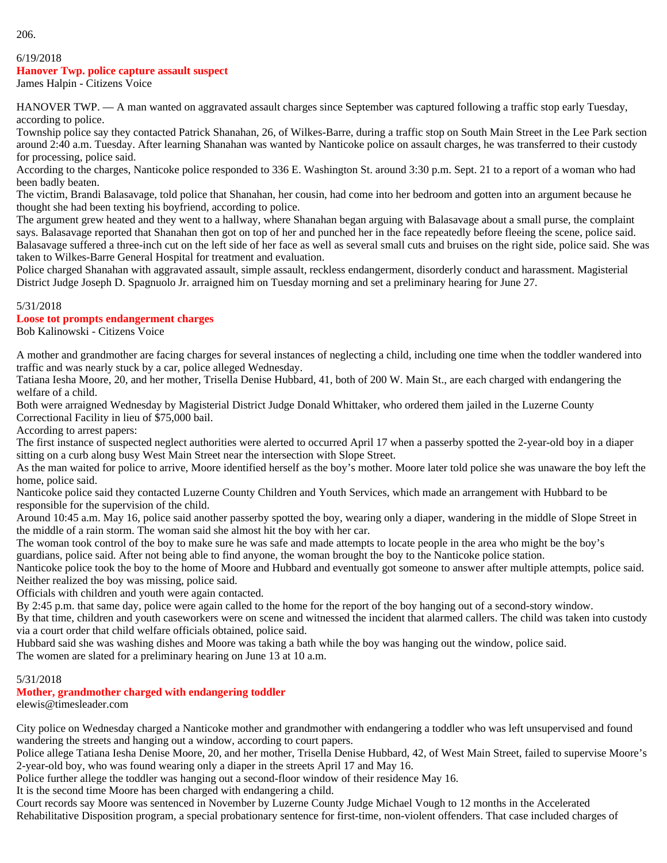#### 206.

#### 6/19/2018 **Hanover Twp. police capture assault suspect** James Halpin - Citizens Voice

HANOVER TWP. — A man wanted on aggravated assault charges since September was captured following a traffic stop early Tuesday, according to police.

Township police say they contacted Patrick Shanahan, 26, of Wilkes-Barre, during a traffic stop on South Main Street in the Lee Park section around 2:40 a.m. Tuesday. After learning Shanahan was wanted by Nanticoke police on assault charges, he was transferred to their custody for processing, police said.

According to the charges, Nanticoke police responded to 336 E. Washington St. around 3:30 p.m. Sept. 21 to a report of a woman who had been badly beaten.

The victim, Brandi Balasavage, told police that Shanahan, her cousin, had come into her bedroom and gotten into an argument because he thought she had been texting his boyfriend, according to police.

The argument grew heated and they went to a hallway, where Shanahan began arguing with Balasavage about a small purse, the complaint says. Balasavage reported that Shanahan then got on top of her and punched her in the face repeatedly before fleeing the scene, police said. Balasavage suffered a three-inch cut on the left side of her face as well as several small cuts and bruises on the right side, police said. She was taken to Wilkes-Barre General Hospital for treatment and evaluation.

Police charged Shanahan with aggravated assault, simple assault, reckless endangerment, disorderly conduct and harassment. Magisterial District Judge Joseph D. Spagnuolo Jr. arraigned him on Tuesday morning and set a preliminary hearing for June 27.

#### 5/31/2018

### **Loose tot prompts endangerment charges**

Bob Kalinowski - Citizens Voice

A mother and grandmother are facing charges for several instances of neglecting a child, including one time when the toddler wandered into traffic and was nearly stuck by a car, police alleged Wednesday.

Tatiana Iesha Moore, 20, and her mother, Trisella Denise Hubbard, 41, both of 200 W. Main St., are each charged with endangering the welfare of a child.

Both were arraigned Wednesday by Magisterial District Judge Donald Whittaker, who ordered them jailed in the Luzerne County Correctional Facility in lieu of \$75,000 bail.

According to arrest papers:

The first instance of suspected neglect authorities were alerted to occurred April 17 when a passerby spotted the 2-year-old boy in a diaper sitting on a curb along busy West Main Street near the intersection with Slope Street.

As the man waited for police to arrive, Moore identified herself as the boy's mother. Moore later told police she was unaware the boy left the home, police said.

Nanticoke police said they contacted Luzerne County Children and Youth Services, which made an arrangement with Hubbard to be responsible for the supervision of the child.

Around 10:45 a.m. May 16, police said another passerby spotted the boy, wearing only a diaper, wandering in the middle of Slope Street in the middle of a rain storm. The woman said she almost hit the boy with her car.

The woman took control of the boy to make sure he was safe and made attempts to locate people in the area who might be the boy's guardians, police said. After not being able to find anyone, the woman brought the boy to the Nanticoke police station.

Nanticoke police took the boy to the home of Moore and Hubbard and eventually got someone to answer after multiple attempts, police said. Neither realized the boy was missing, police said.

Officials with children and youth were again contacted.

By 2:45 p.m. that same day, police were again called to the home for the report of the boy hanging out of a second-story window.

By that time, children and youth caseworkers were on scene and witnessed the incident that alarmed callers. The child was taken into custody via a court order that child welfare officials obtained, police said.

Hubbard said she was washing dishes and Moore was taking a bath while the boy was hanging out the window, police said. The women are slated for a preliminary hearing on June 13 at 10 a.m.

#### 5/31/2018

# **Mother, grandmother charged with endangering toddler**

elewis@timesleader.com

City police on Wednesday charged a Nanticoke mother and grandmother with endangering a toddler who was left unsupervised and found wandering the streets and hanging out a window, according to court papers.

Police allege Tatiana Iesha Denise Moore, 20, and her mother, Trisella Denise Hubbard, 42, of West Main Street, failed to supervise Moore's 2-year-old boy, who was found wearing only a diaper in the streets April 17 and May 16.

Police further allege the toddler was hanging out a second-floor window of their residence May 16.

It is the second time Moore has been charged with endangering a child.

Court records say Moore was sentenced in November by Luzerne County Judge Michael Vough to 12 months in the Accelerated Rehabilitative Disposition program, a special probationary sentence for first-time, non-violent offenders. That case included charges of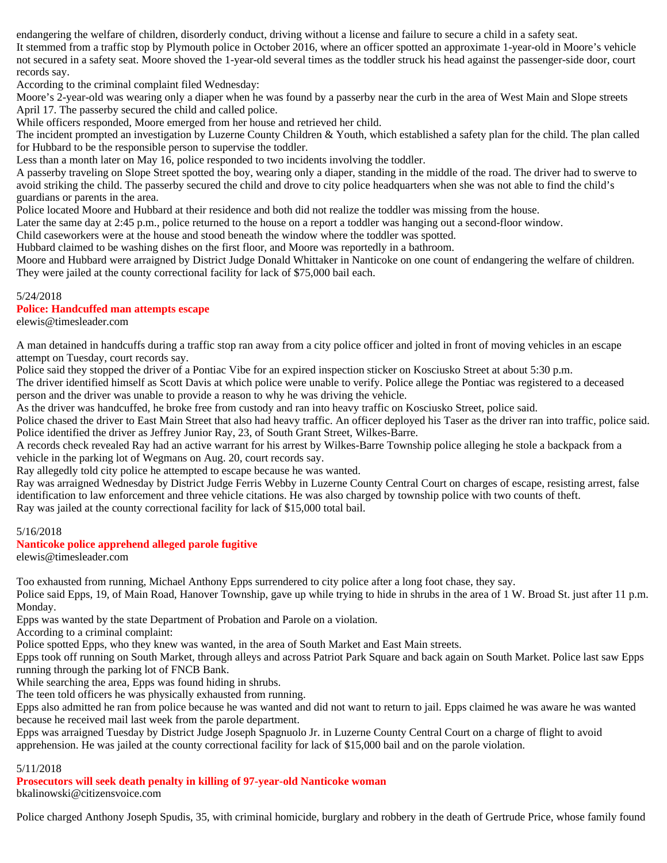endangering the welfare of children, disorderly conduct, driving without a license and failure to secure a child in a safety seat. It stemmed from a traffic stop by Plymouth police in October 2016, where an officer spotted an approximate 1-year-old in Moore's vehicle not secured in a safety seat. Moore shoved the 1-year-old several times as the toddler struck his head against the passenger-side door, court records say.

According to the criminal complaint filed Wednesday:

Moore's 2-year-old was wearing only a diaper when he was found by a passerby near the curb in the area of West Main and Slope streets April 17. The passerby secured the child and called police.

While officers responded, Moore emerged from her house and retrieved her child.

The incident prompted an investigation by Luzerne County Children & Youth, which established a safety plan for the child. The plan called for Hubbard to be the responsible person to supervise the toddler.

Less than a month later on May 16, police responded to two incidents involving the toddler.

A passerby traveling on Slope Street spotted the boy, wearing only a diaper, standing in the middle of the road. The driver had to swerve to avoid striking the child. The passerby secured the child and drove to city police headquarters when she was not able to find the child's guardians or parents in the area.

Police located Moore and Hubbard at their residence and both did not realize the toddler was missing from the house.

Later the same day at 2:45 p.m., police returned to the house on a report a toddler was hanging out a second-floor window.

Child caseworkers were at the house and stood beneath the window where the toddler was spotted.

Hubbard claimed to be washing dishes on the first floor, and Moore was reportedly in a bathroom.

Moore and Hubbard were arraigned by District Judge Donald Whittaker in Nanticoke on one count of endangering the welfare of children. They were jailed at the county correctional facility for lack of \$75,000 bail each.

#### 5/24/2018

#### **Police: Handcuffed man attempts escape**

elewis@timesleader.com

A man detained in handcuffs during a traffic stop ran away from a city police officer and jolted in front of moving vehicles in an escape attempt on Tuesday, court records say.

Police said they stopped the driver of a Pontiac Vibe for an expired inspection sticker on Kosciusko Street at about 5:30 p.m.

The driver identified himself as Scott Davis at which police were unable to verify. Police allege the Pontiac was registered to a deceased person and the driver was unable to provide a reason to why he was driving the vehicle.

As the driver was handcuffed, he broke free from custody and ran into heavy traffic on Kosciusko Street, police said.

Police chased the driver to East Main Street that also had heavy traffic. An officer deployed his Taser as the driver ran into traffic, police said. Police identified the driver as Jeffrey Junior Ray, 23, of South Grant Street, Wilkes-Barre.

A records check revealed Ray had an active warrant for his arrest by Wilkes-Barre Township police alleging he stole a backpack from a vehicle in the parking lot of Wegmans on Aug. 20, court records say.

Ray allegedly told city police he attempted to escape because he was wanted.

Ray was arraigned Wednesday by District Judge Ferris Webby in Luzerne County Central Court on charges of escape, resisting arrest, false identification to law enforcement and three vehicle citations. He was also charged by township police with two counts of theft. Ray was jailed at the county correctional facility for lack of \$15,000 total bail.

#### 5/16/2018

## **Nanticoke police apprehend alleged parole fugitive**

elewis@timesleader.com

Too exhausted from running, Michael Anthony Epps surrendered to city police after a long foot chase, they say.

Police said Epps, 19, of Main Road, Hanover Township, gave up while trying to hide in shrubs in the area of 1 W. Broad St. just after 11 p.m. Monday.

Epps was wanted by the state Department of Probation and Parole on a violation.

According to a criminal complaint:

Police spotted Epps, who they knew was wanted, in the area of South Market and East Main streets.

Epps took off running on South Market, through alleys and across Patriot Park Square and back again on South Market. Police last saw Epps running through the parking lot of FNCB Bank.

While searching the area, Epps was found hiding in shrubs.

The teen told officers he was physically exhausted from running.

Epps also admitted he ran from police because he was wanted and did not want to return to jail. Epps claimed he was aware he was wanted because he received mail last week from the parole department.

Epps was arraigned Tuesday by District Judge Joseph Spagnuolo Jr. in Luzerne County Central Court on a charge of flight to avoid apprehension. He was jailed at the county correctional facility for lack of \$15,000 bail and on the parole violation.

#### 5/11/2018

## **Prosecutors will seek death penalty in killing of 97-year-old Nanticoke woman**

bkalinowski@citizensvoice.com

Police charged Anthony Joseph Spudis, 35, with criminal homicide, burglary and robbery in the death of Gertrude Price, whose family found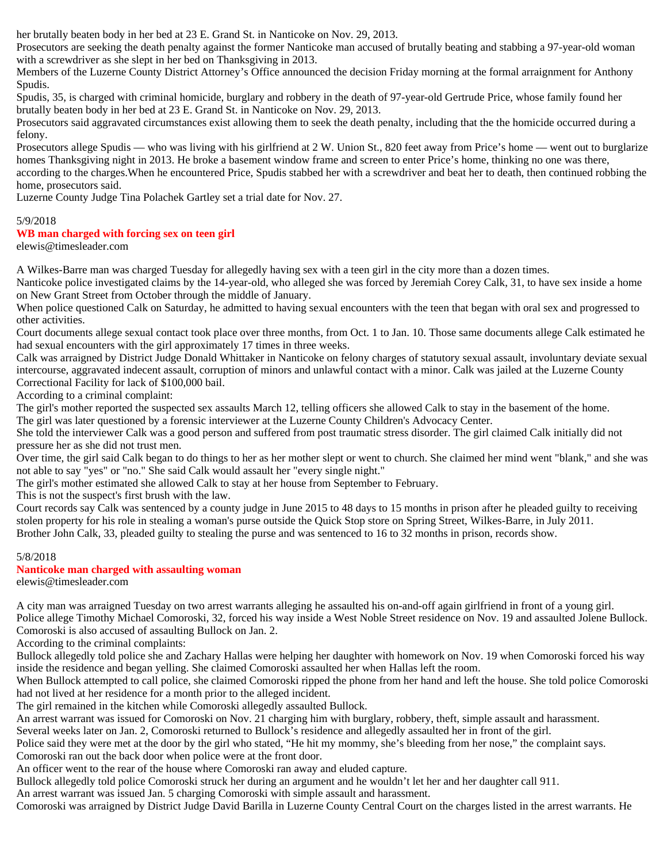her brutally beaten body in her bed at 23 E. Grand St. in Nanticoke on Nov. 29, 2013.

Prosecutors are seeking the death penalty against the former Nanticoke man accused of brutally beating and stabbing a 97-year-old woman with a screwdriver as she slept in her bed on Thanksgiving in 2013.

Members of the Luzerne County District Attorney's Office announced the decision Friday morning at the formal arraignment for Anthony Spudis.

Spudis, 35, is charged with criminal homicide, burglary and robbery in the death of 97-year-old Gertrude Price, whose family found her brutally beaten body in her bed at 23 E. Grand St. in Nanticoke on Nov. 29, 2013.

Prosecutors said aggravated circumstances exist allowing them to seek the death penalty, including that the the homicide occurred during a felony.

Prosecutors allege Spudis — who was living with his girlfriend at 2 W. Union St., 820 feet away from Price's home — went out to burglarize homes Thanksgiving night in 2013. He broke a basement window frame and screen to enter Price's home, thinking no one was there, according to the charges.When he encountered Price, Spudis stabbed her with a screwdriver and beat her to death, then continued robbing the home, prosecutors said.

Luzerne County Judge Tina Polachek Gartley set a trial date for Nov. 27.

#### 5/9/2018

#### **WB man charged with forcing sex on teen girl**

elewis@timesleader.com

A Wilkes-Barre man was charged Tuesday for allegedly having sex with a teen girl in the city more than a dozen times.

Nanticoke police investigated claims by the 14-year-old, who alleged she was forced by Jeremiah Corey Calk, 31, to have sex inside a home on New Grant Street from October through the middle of January.

When police questioned Calk on Saturday, he admitted to having sexual encounters with the teen that began with oral sex and progressed to other activities.

Court documents allege sexual contact took place over three months, from Oct. 1 to Jan. 10. Those same documents allege Calk estimated he had sexual encounters with the girl approximately 17 times in three weeks.

Calk was arraigned by District Judge Donald Whittaker in Nanticoke on felony charges of statutory sexual assault, involuntary deviate sexual intercourse, aggravated indecent assault, corruption of minors and unlawful contact with a minor. Calk was jailed at the Luzerne County Correctional Facility for lack of \$100,000 bail.

According to a criminal complaint:

The girl's mother reported the suspected sex assaults March 12, telling officers she allowed Calk to stay in the basement of the home. The girl was later questioned by a forensic interviewer at the Luzerne County Children's Advocacy Center.

She told the interviewer Calk was a good person and suffered from post traumatic stress disorder. The girl claimed Calk initially did not pressure her as she did not trust men.

Over time, the girl said Calk began to do things to her as her mother slept or went to church. She claimed her mind went "blank," and she was not able to say "yes" or "no." She said Calk would assault her "every single night."

The girl's mother estimated she allowed Calk to stay at her house from September to February.

This is not the suspect's first brush with the law.

Court records say Calk was sentenced by a county judge in June 2015 to 48 days to 15 months in prison after he pleaded guilty to receiving stolen property for his role in stealing a woman's purse outside the Quick Stop store on Spring Street, Wilkes-Barre, in July 2011. Brother John Calk, 33, pleaded guilty to stealing the purse and was sentenced to 16 to 32 months in prison, records show.

#### 5/8/2018

### **Nanticoke man charged with assaulting woman**

elewis@timesleader.com

A city man was arraigned Tuesday on two arrest warrants alleging he assaulted his on-and-off again girlfriend in front of a young girl. Police allege Timothy Michael Comoroski, 32, forced his way inside a West Noble Street residence on Nov. 19 and assaulted Jolene Bullock. Comoroski is also accused of assaulting Bullock on Jan. 2.

According to the criminal complaints:

Bullock allegedly told police she and Zachary Hallas were helping her daughter with homework on Nov. 19 when Comoroski forced his way inside the residence and began yelling. She claimed Comoroski assaulted her when Hallas left the room.

When Bullock attempted to call police, she claimed Comoroski ripped the phone from her hand and left the house. She told police Comoroski had not lived at her residence for a month prior to the alleged incident.

The girl remained in the kitchen while Comoroski allegedly assaulted Bullock.

An arrest warrant was issued for Comoroski on Nov. 21 charging him with burglary, robbery, theft, simple assault and harassment.

Several weeks later on Jan. 2, Comoroski returned to Bullock's residence and allegedly assaulted her in front of the girl.

Police said they were met at the door by the girl who stated, "He hit my mommy, she's bleeding from her nose," the complaint says. Comoroski ran out the back door when police were at the front door.

An officer went to the rear of the house where Comoroski ran away and eluded capture.

Bullock allegedly told police Comoroski struck her during an argument and he wouldn't let her and her daughter call 911.

An arrest warrant was issued Jan. 5 charging Comoroski with simple assault and harassment.

Comoroski was arraigned by District Judge David Barilla in Luzerne County Central Court on the charges listed in the arrest warrants. He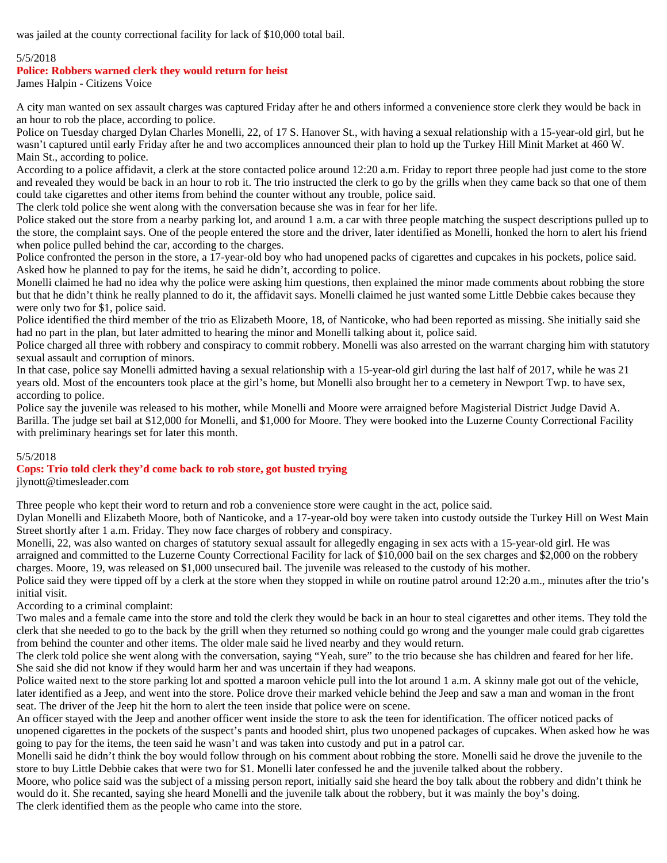was jailed at the county correctional facility for lack of \$10,000 total bail.

#### 5/5/2018

### **Police: Robbers warned clerk they would return for heist**

James Halpin - Citizens Voice

A city man wanted on sex assault charges was captured Friday after he and others informed a convenience store clerk they would be back in an hour to rob the place, according to police.

Police on Tuesday charged Dylan Charles Monelli, 22, of 17 S. Hanover St., with having a sexual relationship with a 15-year-old girl, but he wasn't captured until early Friday after he and two accomplices announced their plan to hold up the Turkey Hill Minit Market at 460 W. Main St., according to police.

According to a police affidavit, a clerk at the store contacted police around 12:20 a.m. Friday to report three people had just come to the store and revealed they would be back in an hour to rob it. The trio instructed the clerk to go by the grills when they came back so that one of them could take cigarettes and other items from behind the counter without any trouble, police said.

The clerk told police she went along with the conversation because she was in fear for her life.

Police staked out the store from a nearby parking lot, and around 1 a.m. a car with three people matching the suspect descriptions pulled up to the store, the complaint says. One of the people entered the store and the driver, later identified as Monelli, honked the horn to alert his friend when police pulled behind the car, according to the charges.

Police confronted the person in the store, a 17-year-old boy who had unopened packs of cigarettes and cupcakes in his pockets, police said. Asked how he planned to pay for the items, he said he didn't, according to police.

Monelli claimed he had no idea why the police were asking him questions, then explained the minor made comments about robbing the store but that he didn't think he really planned to do it, the affidavit says. Monelli claimed he just wanted some Little Debbie cakes because they were only two for \$1, police said.

Police identified the third member of the trio as Elizabeth Moore, 18, of Nanticoke, who had been reported as missing. She initially said she had no part in the plan, but later admitted to hearing the minor and Monelli talking about it, police said.

Police charged all three with robbery and conspiracy to commit robbery. Monelli was also arrested on the warrant charging him with statutory sexual assault and corruption of minors.

In that case, police say Monelli admitted having a sexual relationship with a 15-year-old girl during the last half of 2017, while he was 21 years old. Most of the encounters took place at the girl's home, but Monelli also brought her to a cemetery in Newport Twp. to have sex, according to police.

Police say the juvenile was released to his mother, while Monelli and Moore were arraigned before Magisterial District Judge David A. Barilla. The judge set bail at \$12,000 for Monelli, and \$1,000 for Moore. They were booked into the Luzerne County Correctional Facility with preliminary hearings set for later this month.

#### 5/5/2018

# **Cops: Trio told clerk they'd come back to rob store, got busted trying**

jlynott@timesleader.com

Three people who kept their word to return and rob a convenience store were caught in the act, police said.

Dylan Monelli and Elizabeth Moore, both of Nanticoke, and a 17-year-old boy were taken into custody outside the Turkey Hill on West Main Street shortly after 1 a.m. Friday. They now face charges of robbery and conspiracy.

Monelli, 22, was also wanted on charges of statutory sexual assault for allegedly engaging in sex acts with a 15-year-old girl. He was arraigned and committed to the Luzerne County Correctional Facility for lack of \$10,000 bail on the sex charges and \$2,000 on the robbery charges. Moore, 19, was released on \$1,000 unsecured bail. The juvenile was released to the custody of his mother.

Police said they were tipped off by a clerk at the store when they stopped in while on routine patrol around 12:20 a.m., minutes after the trio's initial visit.

According to a criminal complaint:

Two males and a female came into the store and told the clerk they would be back in an hour to steal cigarettes and other items. They told the clerk that she needed to go to the back by the grill when they returned so nothing could go wrong and the younger male could grab cigarettes from behind the counter and other items. The older male said he lived nearby and they would return.

The clerk told police she went along with the conversation, saying "Yeah, sure" to the trio because she has children and feared for her life. She said she did not know if they would harm her and was uncertain if they had weapons.

Police waited next to the store parking lot and spotted a maroon vehicle pull into the lot around 1 a.m. A skinny male got out of the vehicle, later identified as a Jeep, and went into the store. Police drove their marked vehicle behind the Jeep and saw a man and woman in the front seat. The driver of the Jeep hit the horn to alert the teen inside that police were on scene.

An officer stayed with the Jeep and another officer went inside the store to ask the teen for identification. The officer noticed packs of unopened cigarettes in the pockets of the suspect's pants and hooded shirt, plus two unopened packages of cupcakes. When asked how he was going to pay for the items, the teen said he wasn't and was taken into custody and put in a patrol car.

Monelli said he didn't think the boy would follow through on his comment about robbing the store. Monelli said he drove the juvenile to the store to buy Little Debbie cakes that were two for \$1. Monelli later confessed he and the juvenile talked about the robbery.

Moore, who police said was the subject of a missing person report, initially said she heard the boy talk about the robbery and didn't think he would do it. She recanted, saying she heard Monelli and the juvenile talk about the robbery, but it was mainly the boy's doing. The clerk identified them as the people who came into the store.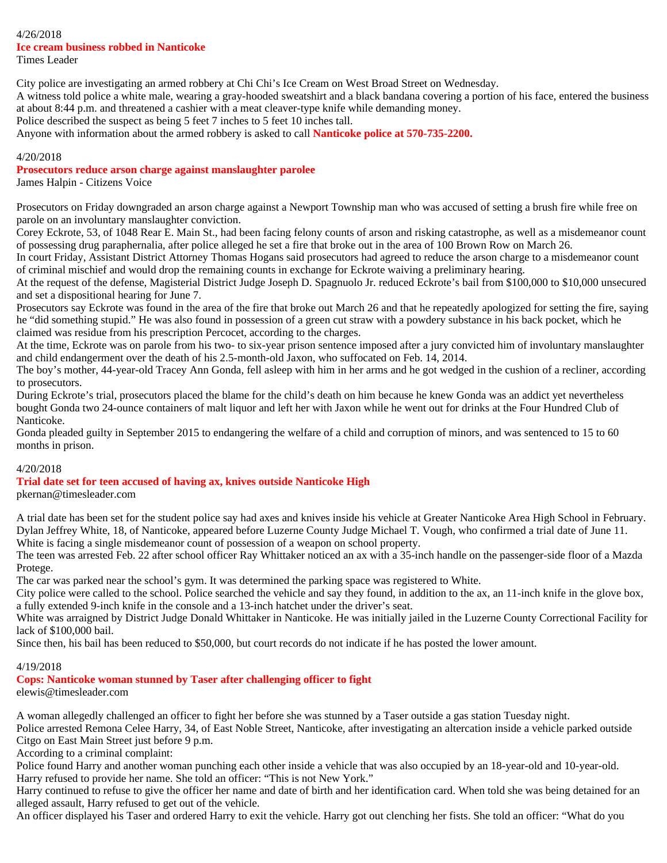# 4/26/2018 **Ice cream business robbed in Nanticoke**

Times Leader

City police are investigating an armed robbery at Chi Chi's Ice Cream on West Broad Street on Wednesday.

A witness told police a white male, wearing a gray-hooded sweatshirt and a black bandana covering a portion of his face, entered the business at about 8:44 p.m. and threatened a cashier with a meat cleaver-type knife while demanding money.

Police described the suspect as being 5 feet 7 inches to 5 feet 10 inches tall.

Anyone with information about the armed robbery is asked to call **Nanticoke police at 570-735-2200.**

#### 4/20/2018

#### **Prosecutors reduce arson charge against manslaughter parolee**

James Halpin - Citizens Voice

Prosecutors on Friday downgraded an arson charge against a Newport Township man who was accused of setting a brush fire while free on parole on an involuntary manslaughter conviction.

Corey Eckrote, 53, of 1048 Rear E. Main St., had been facing felony counts of arson and risking catastrophe, as well as a misdemeanor count of possessing drug paraphernalia, after police alleged he set a fire that broke out in the area of 100 Brown Row on March 26.

In court Friday, Assistant District Attorney Thomas Hogans said prosecutors had agreed to reduce the arson charge to a misdemeanor count of criminal mischief and would drop the remaining counts in exchange for Eckrote waiving a preliminary hearing.

At the request of the defense, Magisterial District Judge Joseph D. Spagnuolo Jr. reduced Eckrote's bail from \$100,000 to \$10,000 unsecured and set a dispositional hearing for June 7.

Prosecutors say Eckrote was found in the area of the fire that broke out March 26 and that he repeatedly apologized for setting the fire, saying he "did something stupid." He was also found in possession of a green cut straw with a powdery substance in his back pocket, which he claimed was residue from his prescription Percocet, according to the charges.

At the time, Eckrote was on parole from his two- to six-year prison sentence imposed after a jury convicted him of involuntary manslaughter and child endangerment over the death of his 2.5-month-old Jaxon, who suffocated on Feb. 14, 2014.

The boy's mother, 44-year-old Tracey Ann Gonda, fell asleep with him in her arms and he got wedged in the cushion of a recliner, according to prosecutors.

During Eckrote's trial, prosecutors placed the blame for the child's death on him because he knew Gonda was an addict yet nevertheless bought Gonda two 24-ounce containers of malt liquor and left her with Jaxon while he went out for drinks at the Four Hundred Club of Nanticoke.

Gonda pleaded guilty in September 2015 to endangering the welfare of a child and corruption of minors, and was sentenced to 15 to 60 months in prison.

### 4/20/2018

### **Trial date set for teen accused of having ax, knives outside Nanticoke High**

pkernan@timesleader.com

A trial date has been set for the student police say had axes and knives inside his vehicle at Greater Nanticoke Area High School in February. Dylan Jeffrey White, 18, of Nanticoke, appeared before Luzerne County Judge Michael T. Vough, who confirmed a trial date of June 11. White is facing a single misdemeanor count of possession of a weapon on school property.

The teen was arrested Feb. 22 after school officer Ray Whittaker noticed an ax with a 35-inch handle on the passenger-side floor of a Mazda Protege.

The car was parked near the school's gym. It was determined the parking space was registered to White.

City police were called to the school. Police searched the vehicle and say they found, in addition to the ax, an 11-inch knife in the glove box, a fully extended 9-inch knife in the console and a 13-inch hatchet under the driver's seat.

White was arraigned by District Judge Donald Whittaker in Nanticoke. He was initially jailed in the Luzerne County Correctional Facility for lack of \$100,000 bail.

Since then, his bail has been reduced to \$50,000, but court records do not indicate if he has posted the lower amount.

### 4/19/2018

**Cops: Nanticoke woman stunned by Taser after challenging officer to fight**

elewis@timesleader.com

A woman allegedly challenged an officer to fight her before she was stunned by a Taser outside a gas station Tuesday night.

Police arrested Remona Celee Harry, 34, of East Noble Street, Nanticoke, after investigating an altercation inside a vehicle parked outside Citgo on East Main Street just before 9 p.m.

According to a criminal complaint:

Police found Harry and another woman punching each other inside a vehicle that was also occupied by an 18-year-old and 10-year-old. Harry refused to provide her name. She told an officer: "This is not New York."

Harry continued to refuse to give the officer her name and date of birth and her identification card. When told she was being detained for an alleged assault, Harry refused to get out of the vehicle.

An officer displayed his Taser and ordered Harry to exit the vehicle. Harry got out clenching her fists. She told an officer: "What do you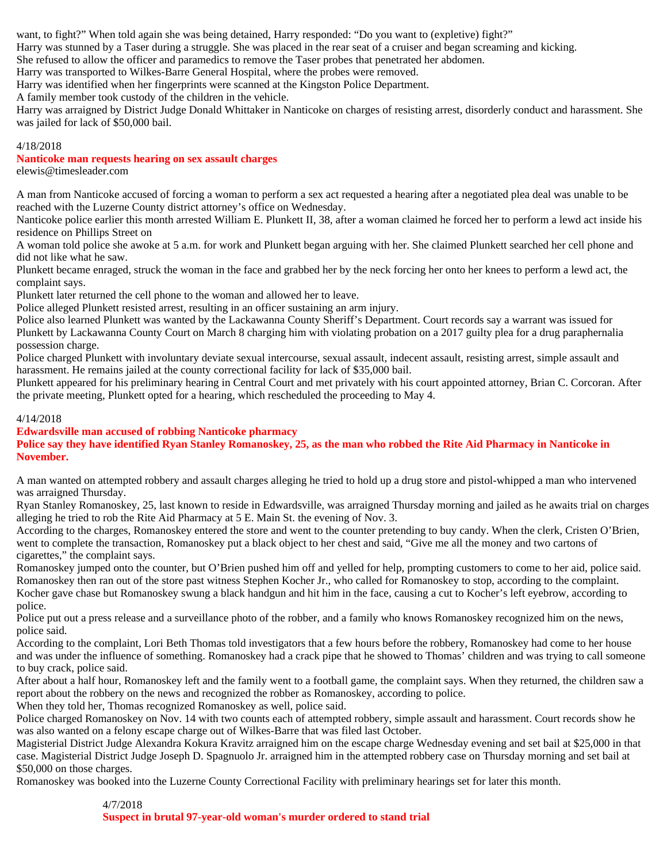want, to fight?" When told again she was being detained, Harry responded: "Do you want to (expletive) fight?"

Harry was stunned by a Taser during a struggle. She was placed in the rear seat of a cruiser and began screaming and kicking.

She refused to allow the officer and paramedics to remove the Taser probes that penetrated her abdomen.

Harry was transported to Wilkes-Barre General Hospital, where the probes were removed.

Harry was identified when her fingerprints were scanned at the Kingston Police Department.

A family member took custody of the children in the vehicle.

Harry was arraigned by District Judge Donald Whittaker in Nanticoke on charges of resisting arrest, disorderly conduct and harassment. She was jailed for lack of \$50,000 bail.

4/18/2018

### **Nanticoke man requests hearing on sex assault charges**

elewis@timesleader.com

A man from Nanticoke accused of forcing a woman to perform a sex act requested a hearing after a negotiated plea deal was unable to be reached with the Luzerne County district attorney's office on Wednesday.

Nanticoke police earlier this month arrested William E. Plunkett II, 38, after a woman claimed he forced her to perform a lewd act inside his residence on Phillips Street on

A woman told police she awoke at 5 a.m. for work and Plunkett began arguing with her. She claimed Plunkett searched her cell phone and did not like what he saw.

Plunkett became enraged, struck the woman in the face and grabbed her by the neck forcing her onto her knees to perform a lewd act, the complaint says.

Plunkett later returned the cell phone to the woman and allowed her to leave.

Police alleged Plunkett resisted arrest, resulting in an officer sustaining an arm injury.

Police also learned Plunkett was wanted by the Lackawanna County Sheriff's Department. Court records say a warrant was issued for Plunkett by Lackawanna County Court on March 8 charging him with violating probation on a 2017 guilty plea for a drug paraphernalia possession charge.

Police charged Plunkett with involuntary deviate sexual intercourse, sexual assault, indecent assault, resisting arrest, simple assault and harassment. He remains jailed at the county correctional facility for lack of \$35,000 bail.

Plunkett appeared for his preliminary hearing in Central Court and met privately with his court appointed attorney, Brian C. Corcoran. After the private meeting, Plunkett opted for a hearing, which rescheduled the proceeding to May 4.

#### 4/14/2018

#### **Edwardsville man accused of robbing Nanticoke pharmacy**

**Police say they have identified Ryan Stanley Romanoskey, 25, as the man who robbed the Rite Aid Pharmacy in Nanticoke in November.**

A man wanted on attempted robbery and assault charges alleging he tried to hold up a drug store and pistol-whipped a man who intervened was arraigned Thursday.

Ryan Stanley Romanoskey, 25, last known to reside in Edwardsville, was arraigned Thursday morning and jailed as he awaits trial on charges alleging he tried to rob the Rite Aid Pharmacy at 5 E. Main St. the evening of Nov. 3.

According to the charges, Romanoskey entered the store and went to the counter pretending to buy candy. When the clerk, Cristen O'Brien, went to complete the transaction, Romanoskey put a black object to her chest and said, "Give me all the money and two cartons of cigarettes," the complaint says.

Romanoskey jumped onto the counter, but O'Brien pushed him off and yelled for help, prompting customers to come to her aid, police said. Romanoskey then ran out of the store past witness Stephen Kocher Jr., who called for Romanoskey to stop, according to the complaint. Kocher gave chase but Romanoskey swung a black handgun and hit him in the face, causing a cut to Kocher's left eyebrow, according to police.

Police put out a press release and a surveillance photo of the robber, and a family who knows Romanoskey recognized him on the news, police said.

According to the complaint, Lori Beth Thomas told investigators that a few hours before the robbery, Romanoskey had come to her house and was under the influence of something. Romanoskey had a crack pipe that he showed to Thomas' children and was trying to call someone to buy crack, police said.

After about a half hour, Romanoskey left and the family went to a football game, the complaint says. When they returned, the children saw a report about the robbery on the news and recognized the robber as Romanoskey, according to police.

When they told her, Thomas recognized Romanoskey as well, police said.

Police charged Romanoskey on Nov. 14 with two counts each of attempted robbery, simple assault and harassment. Court records show he was also wanted on a felony escape charge out of Wilkes-Barre that was filed last October.

Magisterial District Judge Alexandra Kokura Kravitz arraigned him on the escape charge Wednesday evening and set bail at \$25,000 in that case. Magisterial District Judge Joseph D. Spagnuolo Jr. arraigned him in the attempted robbery case on Thursday morning and set bail at \$50,000 on those charges.

Romanoskey was booked into the Luzerne County Correctional Facility with preliminary hearings set for later this month.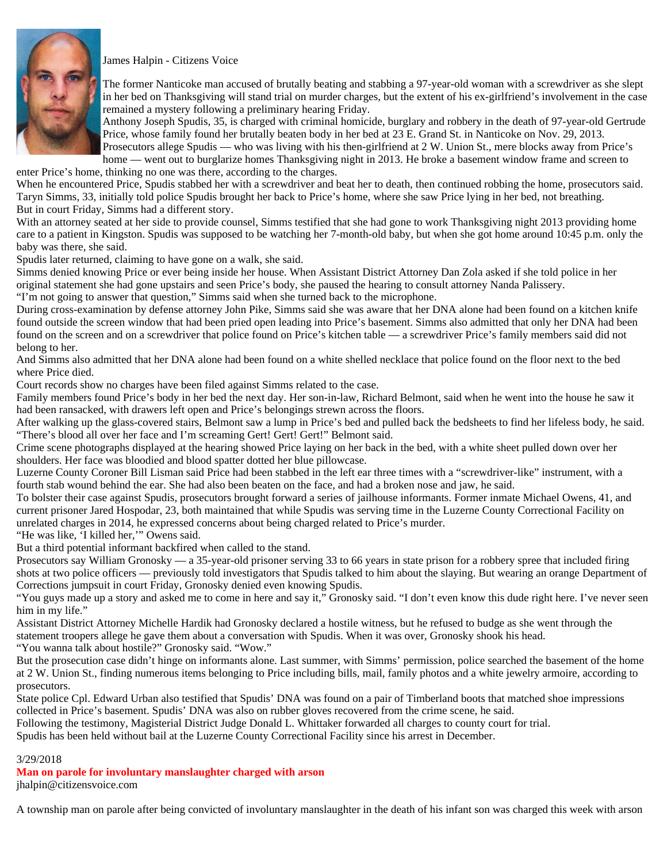

#### James Halpin - Citizens Voice

The former Nanticoke man accused of brutally beating and stabbing a 97-year-old woman with a screwdriver as she slept in her bed on Thanksgiving will stand trial on murder charges, but the extent of his ex-girlfriend's involvement in the case remained a mystery following a preliminary hearing Friday.

Anthony Joseph Spudis, 35, is charged with criminal homicide, burglary and robbery in the death of 97-year-old Gertrude Price, whose family found her brutally beaten body in her bed at 23 E. Grand St. in Nanticoke on Nov. 29, 2013. Prosecutors allege Spudis — who was living with his then-girlfriend at 2 W. Union St., mere blocks away from Price's

home — went out to burglarize homes Thanksgiving night in 2013. He broke a basement window frame and screen to enter Price's home, thinking no one was there, according to the charges.

When he encountered Price, Spudis stabbed her with a screwdriver and beat her to death, then continued robbing the home, prosecutors said. Taryn Simms, 33, initially told police Spudis brought her back to Price's home, where she saw Price lying in her bed, not breathing. But in court Friday, Simms had a different story.

With an attorney seated at her side to provide counsel, Simms testified that she had gone to work Thanksgiving night 2013 providing home care to a patient in Kingston. Spudis was supposed to be watching her 7-month-old baby, but when she got home around 10:45 p.m. only the baby was there, she said.

Spudis later returned, claiming to have gone on a walk, she said.

Simms denied knowing Price or ever being inside her house. When Assistant District Attorney Dan Zola asked if she told police in her original statement she had gone upstairs and seen Price's body, she paused the hearing to consult attorney Nanda Palissery. "I'm not going to answer that question," Simms said when she turned back to the microphone.

During cross-examination by defense attorney John Pike, Simms said she was aware that her DNA alone had been found on a kitchen knife found outside the screen window that had been pried open leading into Price's basement. Simms also admitted that only her DNA had been found on the screen and on a screwdriver that police found on Price's kitchen table — a screwdriver Price's family members said did not belong to her.

And Simms also admitted that her DNA alone had been found on a white shelled necklace that police found on the floor next to the bed where Price died.

Court records show no charges have been filed against Simms related to the case.

Family members found Price's body in her bed the next day. Her son-in-law, Richard Belmont, said when he went into the house he saw it had been ransacked, with drawers left open and Price's belongings strewn across the floors.

After walking up the glass-covered stairs, Belmont saw a lump in Price's bed and pulled back the bedsheets to find her lifeless body, he said. "There's blood all over her face and I'm screaming Gert! Gert! Gert!" Belmont said.

Crime scene photographs displayed at the hearing showed Price laying on her back in the bed, with a white sheet pulled down over her shoulders. Her face was bloodied and blood spatter dotted her blue pillowcase.

Luzerne County Coroner Bill Lisman said Price had been stabbed in the left ear three times with a "screwdriver-like" instrument, with a fourth stab wound behind the ear. She had also been beaten on the face, and had a broken nose and jaw, he said.

To bolster their case against Spudis, prosecutors brought forward a series of jailhouse informants. Former inmate Michael Owens, 41, and current prisoner Jared Hospodar, 23, both maintained that while Spudis was serving time in the Luzerne County Correctional Facility on unrelated charges in 2014, he expressed concerns about being charged related to Price's murder.

"He was like, 'I killed her," Owens said.

But a third potential informant backfired when called to the stand.

Prosecutors say William Gronosky — a 35-year-old prisoner serving 33 to 66 years in state prison for a robbery spree that included firing shots at two police officers — previously told investigators that Spudis talked to him about the slaying. But wearing an orange Department of Corrections jumpsuit in court Friday, Gronosky denied even knowing Spudis.

"You guys made up a story and asked me to come in here and say it," Gronosky said. "I don't even know this dude right here. I've never seen him in my life."

Assistant District Attorney Michelle Hardik had Gronosky declared a hostile witness, but he refused to budge as she went through the statement troopers allege he gave them about a conversation with Spudis. When it was over, Gronosky shook his head. "You wanna talk about hostile?" Gronosky said. "Wow."

But the prosecution case didn't hinge on informants alone. Last summer, with Simms' permission, police searched the basement of the home at 2 W. Union St., finding numerous items belonging to Price including bills, mail, family photos and a white jewelry armoire, according to prosecutors.

State police Cpl. Edward Urban also testified that Spudis' DNA was found on a pair of Timberland boots that matched shoe impressions collected in Price's basement. Spudis' DNA was also on rubber gloves recovered from the crime scene, he said.

Following the testimony, Magisterial District Judge Donald L. Whittaker forwarded all charges to county court for trial.

Spudis has been held without bail at the Luzerne County Correctional Facility since his arrest in December.

3/29/2018

**Man on parole for involuntary manslaughter charged with arson**

jhalpin@citizensvoice.com

A township man on parole after being convicted of involuntary manslaughter in the death of his infant son was charged this week with arson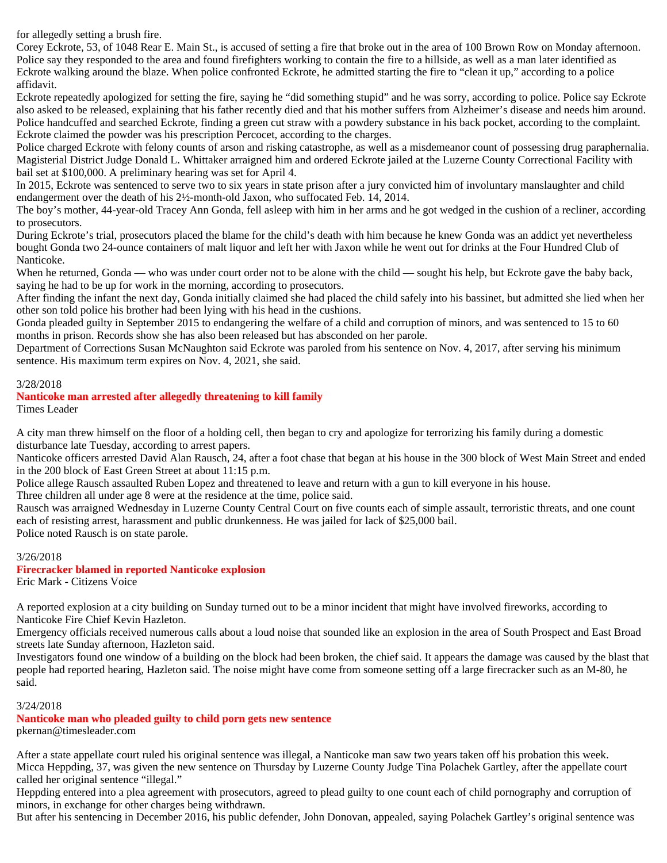for allegedly setting a brush fire.

Corey Eckrote, 53, of 1048 Rear E. Main St., is accused of setting a fire that broke out in the area of 100 Brown Row on Monday afternoon. Police say they responded to the area and found firefighters working to contain the fire to a hillside, as well as a man later identified as Eckrote walking around the blaze. When police confronted Eckrote, he admitted starting the fire to "clean it up," according to a police affidavit.

Eckrote repeatedly apologized for setting the fire, saying he "did something stupid" and he was sorry, according to police. Police say Eckrote also asked to be released, explaining that his father recently died and that his mother suffers from Alzheimer's disease and needs him around. Police handcuffed and searched Eckrote, finding a green cut straw with a powdery substance in his back pocket, according to the complaint. Eckrote claimed the powder was his prescription Percocet, according to the charges.

Police charged Eckrote with felony counts of arson and risking catastrophe, as well as a misdemeanor count of possessing drug paraphernalia. Magisterial District Judge Donald L. Whittaker arraigned him and ordered Eckrote jailed at the Luzerne County Correctional Facility with bail set at \$100,000. A preliminary hearing was set for April 4.

In 2015, Eckrote was sentenced to serve two to six years in state prison after a jury convicted him of involuntary manslaughter and child endangerment over the death of his 2½-month-old Jaxon, who suffocated Feb. 14, 2014.

The boy's mother, 44-year-old Tracey Ann Gonda, fell asleep with him in her arms and he got wedged in the cushion of a recliner, according to prosecutors.

During Eckrote's trial, prosecutors placed the blame for the child's death with him because he knew Gonda was an addict yet nevertheless bought Gonda two 24-ounce containers of malt liquor and left her with Jaxon while he went out for drinks at the Four Hundred Club of Nanticoke.

When he returned, Gonda — who was under court order not to be alone with the child — sought his help, but Eckrote gave the baby back, saying he had to be up for work in the morning, according to prosecutors.

After finding the infant the next day, Gonda initially claimed she had placed the child safely into his bassinet, but admitted she lied when her other son told police his brother had been lying with his head in the cushions.

Gonda pleaded guilty in September 2015 to endangering the welfare of a child and corruption of minors, and was sentenced to 15 to 60 months in prison. Records show she has also been released but has absconded on her parole.

Department of Corrections Susan McNaughton said Eckrote was paroled from his sentence on Nov. 4, 2017, after serving his minimum sentence. His maximum term expires on Nov. 4, 2021, she said.

#### 3/28/2018

**Nanticoke man arrested after allegedly threatening to kill family** Times Leader

A city man threw himself on the floor of a holding cell, then began to cry and apologize for terrorizing his family during a domestic disturbance late Tuesday, according to arrest papers.

Nanticoke officers arrested David Alan Rausch, 24, after a foot chase that began at his house in the 300 block of West Main Street and ended in the 200 block of East Green Street at about 11:15 p.m.

Police allege Rausch assaulted Ruben Lopez and threatened to leave and return with a gun to kill everyone in his house.

Three children all under age 8 were at the residence at the time, police said.

Rausch was arraigned Wednesday in Luzerne County Central Court on five counts each of simple assault, terroristic threats, and one count each of resisting arrest, harassment and public drunkenness. He was jailed for lack of \$25,000 bail. Police noted Rausch is on state parole.

#### 3/26/2018

#### **Firecracker blamed in reported Nanticoke explosion**

Eric Mark - Citizens Voice

A reported explosion at a city building on Sunday turned out to be a minor incident that might have involved fireworks, according to Nanticoke Fire Chief Kevin Hazleton.

Emergency officials received numerous calls about a loud noise that sounded like an explosion in the area of South Prospect and East Broad streets late Sunday afternoon, Hazleton said.

Investigators found one window of a building on the block had been broken, the chief said. It appears the damage was caused by the blast that people had reported hearing, Hazleton said. The noise might have come from someone setting off a large firecracker such as an M-80, he said.

#### 3/24/2018

**Nanticoke man who pleaded guilty to child porn gets new sentence** pkernan@timesleader.com

After a state appellate court ruled his original sentence was illegal, a Nanticoke man saw two years taken off his probation this week. Micca Heppding, 37, was given the new sentence on Thursday by Luzerne County Judge Tina Polachek Gartley, after the appellate court called her original sentence "illegal."

Heppding entered into a plea agreement with prosecutors, agreed to plead guilty to one count each of child pornography and corruption of minors, in exchange for other charges being withdrawn.

But after his sentencing in December 2016, his public defender, John Donovan, appealed, saying Polachek Gartley's original sentence was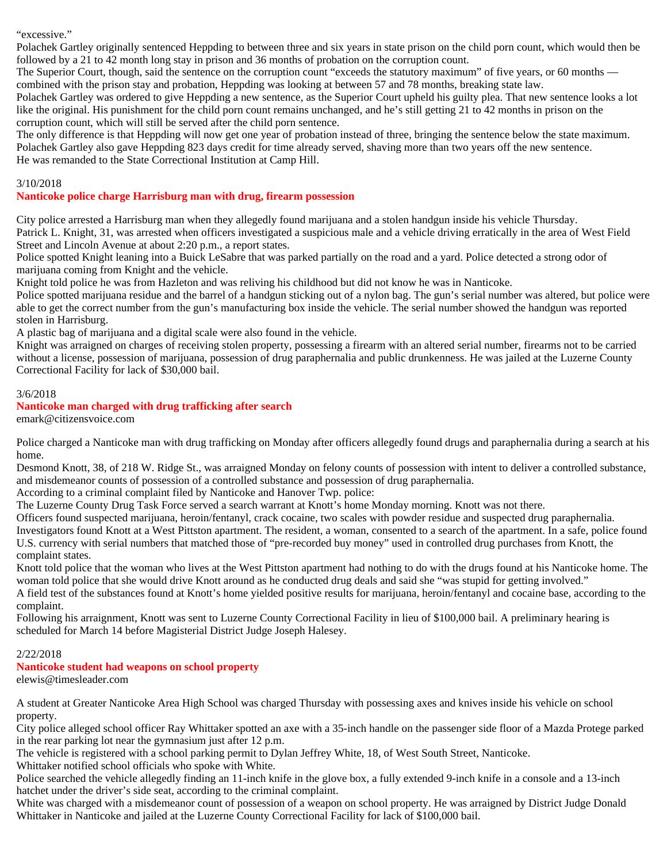"excessive."

Polachek Gartley originally sentenced Heppding to between three and six years in state prison on the child porn count, which would then be followed by a 21 to 42 month long stay in prison and 36 months of probation on the corruption count.

The Superior Court, though, said the sentence on the corruption count "exceeds the statutory maximum" of five years, or 60 months combined with the prison stay and probation, Heppding was looking at between 57 and 78 months, breaking state law.

Polachek Gartley was ordered to give Heppding a new sentence, as the Superior Court upheld his guilty plea. That new sentence looks a lot like the original. His punishment for the child porn count remains unchanged, and he's still getting 21 to 42 months in prison on the corruption count, which will still be served after the child porn sentence.

The only difference is that Heppding will now get one year of probation instead of three, bringing the sentence below the state maximum. Polachek Gartley also gave Heppding 823 days credit for time already served, shaving more than two years off the new sentence. He was remanded to the State Correctional Institution at Camp Hill.

### 3/10/2018

### **Nanticoke police charge Harrisburg man with drug, firearm possession**

City police arrested a Harrisburg man when they allegedly found marijuana and a stolen handgun inside his vehicle Thursday. Patrick L. Knight, 31, was arrested when officers investigated a suspicious male and a vehicle driving erratically in the area of West Field Street and Lincoln Avenue at about 2:20 p.m., a report states.

Police spotted Knight leaning into a Buick LeSabre that was parked partially on the road and a yard. Police detected a strong odor of marijuana coming from Knight and the vehicle.

Knight told police he was from Hazleton and was reliving his childhood but did not know he was in Nanticoke.

Police spotted marijuana residue and the barrel of a handgun sticking out of a nylon bag. The gun's serial number was altered, but police were able to get the correct number from the gun's manufacturing box inside the vehicle. The serial number showed the handgun was reported stolen in Harrisburg.

A plastic bag of marijuana and a digital scale were also found in the vehicle.

Knight was arraigned on charges of receiving stolen property, possessing a firearm with an altered serial number, firearms not to be carried without a license, possession of marijuana, possession of drug paraphernalia and public drunkenness. He was jailed at the Luzerne County Correctional Facility for lack of \$30,000 bail.

#### 3/6/2018

### **Nanticoke man charged with drug trafficking after search**

emark@citizensvoice.com

Police charged a Nanticoke man with drug trafficking on Monday after officers allegedly found drugs and paraphernalia during a search at his home.

Desmond Knott, 38, of 218 W. Ridge St., was arraigned Monday on felony counts of possession with intent to deliver a controlled substance, and misdemeanor counts of possession of a controlled substance and possession of drug paraphernalia.

According to a criminal complaint filed by Nanticoke and Hanover Twp. police:

The Luzerne County Drug Task Force served a search warrant at Knott's home Monday morning. Knott was not there.

Officers found suspected marijuana, heroin/fentanyl, crack cocaine, two scales with powder residue and suspected drug paraphernalia.

Investigators found Knott at a West Pittston apartment. The resident, a woman, consented to a search of the apartment. In a safe, police found U.S. currency with serial numbers that matched those of "pre-recorded buy money" used in controlled drug purchases from Knott, the

complaint states.

Knott told police that the woman who lives at the West Pittston apartment had nothing to do with the drugs found at his Nanticoke home. The woman told police that she would drive Knott around as he conducted drug deals and said she "was stupid for getting involved."

A field test of the substances found at Knott's home yielded positive results for marijuana, heroin/fentanyl and cocaine base, according to the complaint.

Following his arraignment, Knott was sent to Luzerne County Correctional Facility in lieu of \$100,000 bail. A preliminary hearing is scheduled for March 14 before Magisterial District Judge Joseph Halesey.

#### 2/22/2018

# **Nanticoke student had weapons on school property**

elewis@timesleader.com

A student at Greater Nanticoke Area High School was charged Thursday with possessing axes and knives inside his vehicle on school property.

City police alleged school officer Ray Whittaker spotted an axe with a 35-inch handle on the passenger side floor of a Mazda Protege parked in the rear parking lot near the gymnasium just after 12 p.m.

The vehicle is registered with a school parking permit to Dylan Jeffrey White, 18, of West South Street, Nanticoke.

Whittaker notified school officials who spoke with White.

Police searched the vehicle allegedly finding an 11-inch knife in the glove box, a fully extended 9-inch knife in a console and a 13-inch hatchet under the driver's side seat, according to the criminal complaint.

White was charged with a misdemeanor count of possession of a weapon on school property. He was arraigned by District Judge Donald Whittaker in Nanticoke and jailed at the Luzerne County Correctional Facility for lack of \$100,000 bail.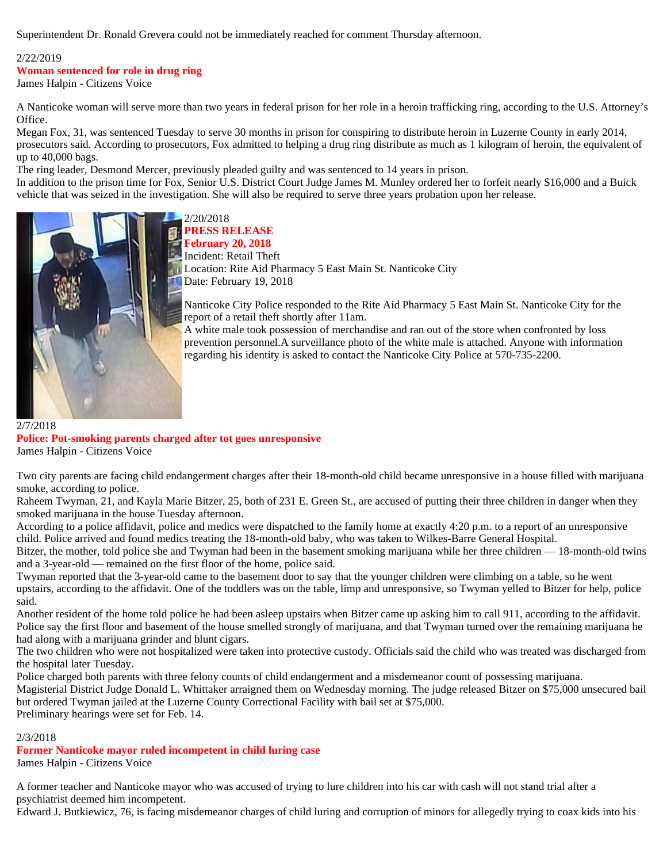Superintendent Dr. Ronald Grevera could not be immediately reached for comment Thursday afternoon.

# 2/22/2019 **Woman sentenced for role in drug ring**

James Halpin - Citizens Voice

A Nanticoke woman will serve more than two years in federal prison for her role in a heroin trafficking ring, according to the U.S. Attorney's Office.

Megan Fox, 31, was sentenced Tuesday to serve 30 months in prison for conspiring to distribute heroin in Luzerne County in early 2014, prosecutors said. According to prosecutors, Fox admitted to helping a drug ring distribute as much as 1 kilogram of heroin, the equivalent of up to 40,000 bags.

The ring leader, Desmond Mercer, previously pleaded guilty and was sentenced to 14 years in prison.

In addition to the prison time for Fox, Senior U.S. District Court Judge James M. Munley ordered her to forfeit nearly \$16,000 and a Buick vehicle that was seized in the investigation. She will also be required to serve three years probation upon her release.



#### 2/20/2018 **PRESS RELEASE February 20, 2018**

Incident: Retail Theft Location: Rite Aid Pharmacy 5 East Main St. Nanticoke City Date: February 19, 2018

Nanticoke City Police responded to the Rite Aid Pharmacy 5 East Main St. Nanticoke City for the report of a retail theft shortly after 11am.

A white male took possession of merchandise and ran out of the store when confronted by loss prevention personnel.A surveillance photo of the white male is attached. Anyone with information regarding his identity is asked to contact the Nanticoke City Police at 570-735-2200.

2/7/2018 **Police: Pot-smoking parents charged after tot goes unresponsive** James Halpin - Citizens Voice

Two city parents are facing child endangerment charges after their 18-month-old child became unresponsive in a house filled with marijuana smoke, according to police.

Raheem Twyman, 21, and Kayla Marie Bitzer, 25, both of 231 E. Green St., are accused of putting their three children in danger when they smoked marijuana in the house Tuesday afternoon.

According to a police affidavit, police and medics were dispatched to the family home at exactly 4:20 p.m. to a report of an unresponsive child. Police arrived and found medics treating the 18-month-old baby, who was taken to Wilkes-Barre General Hospital.

Bitzer, the mother, told police she and Twyman had been in the basement smoking marijuana while her three children — 18-month-old twins and a 3-year-old — remained on the first floor of the home, police said.

Twyman reported that the 3-year-old came to the basement door to say that the younger children were climbing on a table, so he went upstairs, according to the affidavit. One of the toddlers was on the table, limp and unresponsive, so Twyman yelled to Bitzer for help, police said.

Another resident of the home told police he had been asleep upstairs when Bitzer came up asking him to call 911, according to the affidavit. Police say the first floor and basement of the house smelled strongly of marijuana, and that Twyman turned over the remaining marijuana he had along with a marijuana grinder and blunt cigars.

The two children who were not hospitalized were taken into protective custody. Officials said the child who was treated was discharged from the hospital later Tuesday.

Police charged both parents with three felony counts of child endangerment and a misdemeanor count of possessing marijuana.

Magisterial District Judge Donald L. Whittaker arraigned them on Wednesday morning. The judge released Bitzer on \$75,000 unsecured bail but ordered Twyman jailed at the Luzerne County Correctional Facility with bail set at \$75,000.

Preliminary hearings were set for Feb. 14.

#### 2/3/2018

**Former Nanticoke mayor ruled incompetent in child luring case**

James Halpin - Citizens Voice

A former teacher and Nanticoke mayor who was accused of trying to lure children into his car with cash will not stand trial after a psychiatrist deemed him incompetent.

Edward J. Butkiewicz, 76, is facing misdemeanor charges of child luring and corruption of minors for allegedly trying to coax kids into his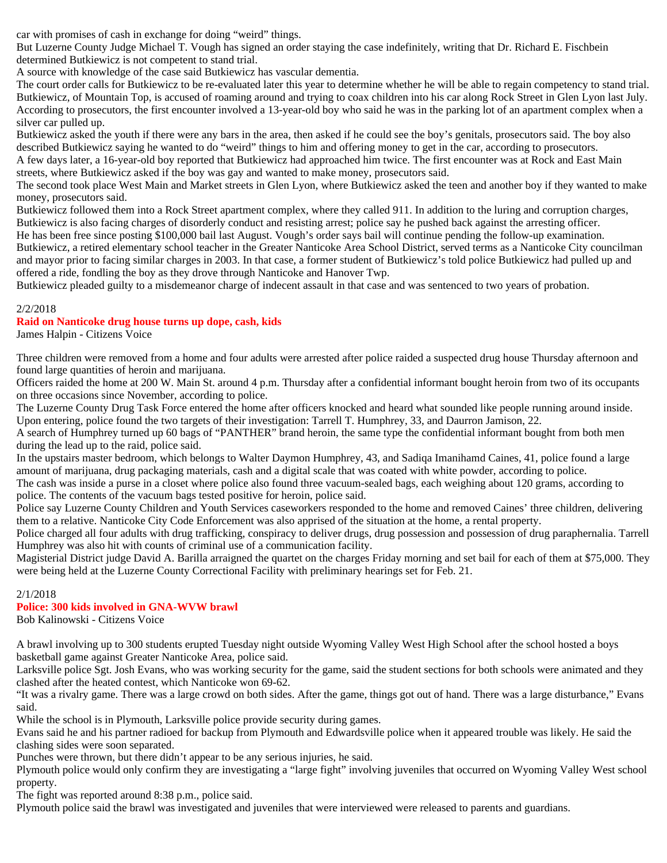car with promises of cash in exchange for doing "weird" things.

But Luzerne County Judge Michael T. Vough has signed an order staying the case indefinitely, writing that Dr. Richard E. Fischbein determined Butkiewicz is not competent to stand trial.

A source with knowledge of the case said Butkiewicz has vascular dementia.

The court order calls for Butkiewicz to be re-evaluated later this year to determine whether he will be able to regain competency to stand trial. Butkiewicz, of Mountain Top, is accused of roaming around and trying to coax children into his car along Rock Street in Glen Lyon last July. According to prosecutors, the first encounter involved a 13-year-old boy who said he was in the parking lot of an apartment complex when a silver car pulled up.

Butkiewicz asked the youth if there were any bars in the area, then asked if he could see the boy's genitals, prosecutors said. The boy also described Butkiewicz saying he wanted to do "weird" things to him and offering money to get in the car, according to prosecutors. A few days later, a 16-year-old boy reported that Butkiewicz had approached him twice. The first encounter was at Rock and East Main streets, where Butkiewicz asked if the boy was gay and wanted to make money, prosecutors said.

The second took place West Main and Market streets in Glen Lyon, where Butkiewicz asked the teen and another boy if they wanted to make money, prosecutors said.

Butkiewicz followed them into a Rock Street apartment complex, where they called 911. In addition to the luring and corruption charges, Butkiewicz is also facing charges of disorderly conduct and resisting arrest; police say he pushed back against the arresting officer. He has been free since posting \$100,000 bail last August. Vough's order says bail will continue pending the follow-up examination.

Butkiewicz, a retired elementary school teacher in the Greater Nanticoke Area School District, served terms as a Nanticoke City councilman and mayor prior to facing similar charges in 2003. In that case, a former student of Butkiewicz's told police Butkiewicz had pulled up and offered a ride, fondling the boy as they drove through Nanticoke and Hanover Twp.

Butkiewicz pleaded guilty to a misdemeanor charge of indecent assault in that case and was sentenced to two years of probation.

#### 2/2/2018

### **Raid on Nanticoke drug house turns up dope, cash, kids**

James Halpin - Citizens Voice

Three children were removed from a home and four adults were arrested after police raided a suspected drug house Thursday afternoon and found large quantities of heroin and marijuana.

Officers raided the home at 200 W. Main St. around 4 p.m. Thursday after a confidential informant bought heroin from two of its occupants on three occasions since November, according to police.

The Luzerne County Drug Task Force entered the home after officers knocked and heard what sounded like people running around inside. Upon entering, police found the two targets of their investigation: Tarrell T. Humphrey, 33, and Daurron Jamison, 22.

A search of Humphrey turned up 60 bags of "PANTHER" brand heroin, the same type the confidential informant bought from both men during the lead up to the raid, police said.

In the upstairs master bedroom, which belongs to Walter Daymon Humphrey, 43, and Sadiqa Imanihamd Caines, 41, police found a large amount of marijuana, drug packaging materials, cash and a digital scale that was coated with white powder, according to police.

The cash was inside a purse in a closet where police also found three vacuum-sealed bags, each weighing about 120 grams, according to police. The contents of the vacuum bags tested positive for heroin, police said.

Police say Luzerne County Children and Youth Services caseworkers responded to the home and removed Caines' three children, delivering them to a relative. Nanticoke City Code Enforcement was also apprised of the situation at the home, a rental property.

Police charged all four adults with drug trafficking, conspiracy to deliver drugs, drug possession and possession of drug paraphernalia. Tarrell Humphrey was also hit with counts of criminal use of a communication facility.

Magisterial District judge David A. Barilla arraigned the quartet on the charges Friday morning and set bail for each of them at \$75,000. They were being held at the Luzerne County Correctional Facility with preliminary hearings set for Feb. 21.

#### 2/1/2018

#### **Police: 300 kids involved in GNA-WVW brawl**

Bob Kalinowski - Citizens Voice

A brawl involving up to 300 students erupted Tuesday night outside Wyoming Valley West High School after the school hosted a boys basketball game against Greater Nanticoke Area, police said.

Larksville police Sgt. Josh Evans, who was working security for the game, said the student sections for both schools were animated and they clashed after the heated contest, which Nanticoke won 69-62.

"It was a rivalry game. There was a large crowd on both sides. After the game, things got out of hand. There was a large disturbance," Evans said.

While the school is in Plymouth, Larksville police provide security during games.

Evans said he and his partner radioed for backup from Plymouth and Edwardsville police when it appeared trouble was likely. He said the clashing sides were soon separated.

Punches were thrown, but there didn't appear to be any serious injuries, he said.

Plymouth police would only confirm they are investigating a "large fight" involving juveniles that occurred on Wyoming Valley West school property.

The fight was reported around 8:38 p.m., police said.

Plymouth police said the brawl was investigated and juveniles that were interviewed were released to parents and guardians.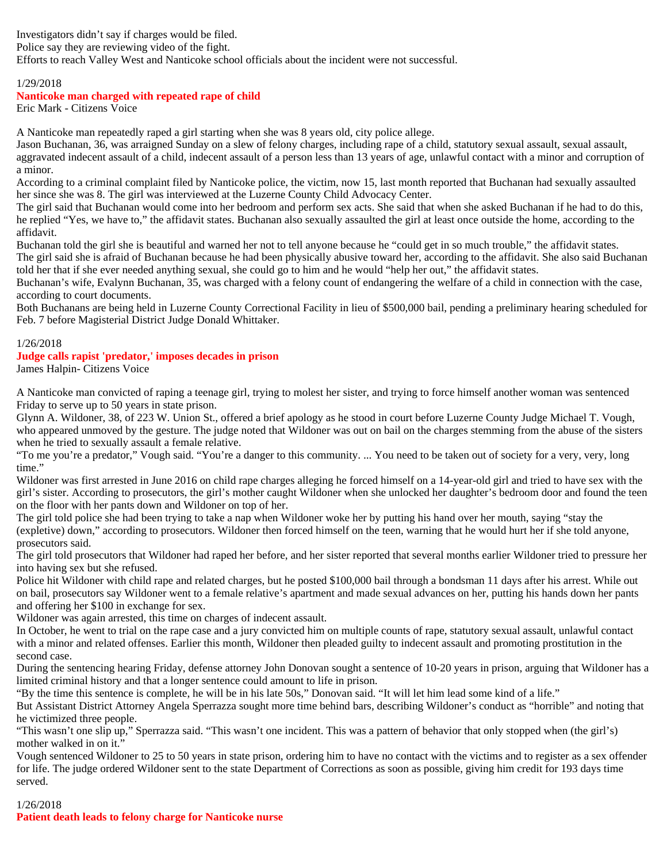Investigators didn't say if charges would be filed. Police say they are reviewing video of the fight. Efforts to reach Valley West and Nanticoke school officials about the incident were not successful.

### 1/29/2018

### **Nanticoke man charged with repeated rape of child**

Eric Mark - Citizens Voice

A Nanticoke man repeatedly raped a girl starting when she was 8 years old, city police allege.

Jason Buchanan, 36, was arraigned Sunday on a slew of felony charges, including rape of a child, statutory sexual assault, sexual assault, aggravated indecent assault of a child, indecent assault of a person less than 13 years of age, unlawful contact with a minor and corruption of a minor.

According to a criminal complaint filed by Nanticoke police, the victim, now 15, last month reported that Buchanan had sexually assaulted her since she was 8. The girl was interviewed at the Luzerne County Child Advocacy Center.

The girl said that Buchanan would come into her bedroom and perform sex acts. She said that when she asked Buchanan if he had to do this, he replied "Yes, we have to," the affidavit states. Buchanan also sexually assaulted the girl at least once outside the home, according to the affidavit.

Buchanan told the girl she is beautiful and warned her not to tell anyone because he "could get in so much trouble," the affidavit states. The girl said she is afraid of Buchanan because he had been physically abusive toward her, according to the affidavit. She also said Buchanan told her that if she ever needed anything sexual, she could go to him and he would "help her out," the affidavit states.

Buchanan's wife, Evalynn Buchanan, 35, was charged with a felony count of endangering the welfare of a child in connection with the case, according to court documents.

Both Buchanans are being held in Luzerne County Correctional Facility in lieu of \$500,000 bail, pending a preliminary hearing scheduled for Feb. 7 before Magisterial District Judge Donald Whittaker.

### 1/26/2018

#### **Judge calls rapist 'predator,' imposes decades in prison** James Halpin- Citizens Voice

A Nanticoke man convicted of raping a teenage girl, trying to molest her sister, and trying to force himself another woman was sentenced Friday to serve up to 50 years in state prison.

Glynn A. Wildoner, 38, of 223 W. Union St., offered a brief apology as he stood in court before Luzerne County Judge Michael T. Vough, who appeared unmoved by the gesture. The judge noted that Wildoner was out on bail on the charges stemming from the abuse of the sisters when he tried to sexually assault a female relative.

"To me you're a predator," Vough said. "You're a danger to this community. ... You need to be taken out of society for a very, very, long time."

Wildoner was first arrested in June 2016 on child rape charges alleging he forced himself on a 14-year-old girl and tried to have sex with the girl's sister. According to prosecutors, the girl's mother caught Wildoner when she unlocked her daughter's bedroom door and found the teen on the floor with her pants down and Wildoner on top of her.

The girl told police she had been trying to take a nap when Wildoner woke her by putting his hand over her mouth, saying "stay the (expletive) down," according to prosecutors. Wildoner then forced himself on the teen, warning that he would hurt her if she told anyone, prosecutors said.

The girl told prosecutors that Wildoner had raped her before, and her sister reported that several months earlier Wildoner tried to pressure her into having sex but she refused.

Police hit Wildoner with child rape and related charges, but he posted \$100,000 bail through a bondsman 11 days after his arrest. While out on bail, prosecutors say Wildoner went to a female relative's apartment and made sexual advances on her, putting his hands down her pants and offering her \$100 in exchange for sex.

Wildoner was again arrested, this time on charges of indecent assault.

In October, he went to trial on the rape case and a jury convicted him on multiple counts of rape, statutory sexual assault, unlawful contact with a minor and related offenses. Earlier this month, Wildoner then pleaded guilty to indecent assault and promoting prostitution in the second case.

During the sentencing hearing Friday, defense attorney John Donovan sought a sentence of 10-20 years in prison, arguing that Wildoner has a limited criminal history and that a longer sentence could amount to life in prison.

"By the time this sentence is complete, he will be in his late 50s," Donovan said. "It will let him lead some kind of a life."

But Assistant District Attorney Angela Sperrazza sought more time behind bars, describing Wildoner's conduct as "horrible" and noting that he victimized three people.

"This wasn't one slip up," Sperrazza said. "This wasn't one incident. This was a pattern of behavior that only stopped when (the girl's) mother walked in on it."

Vough sentenced Wildoner to 25 to 50 years in state prison, ordering him to have no contact with the victims and to register as a sex offender for life. The judge ordered Wildoner sent to the state Department of Corrections as soon as possible, giving him credit for 193 days time served.

1/26/2018 **Patient death leads to felony charge for Nanticoke nurse**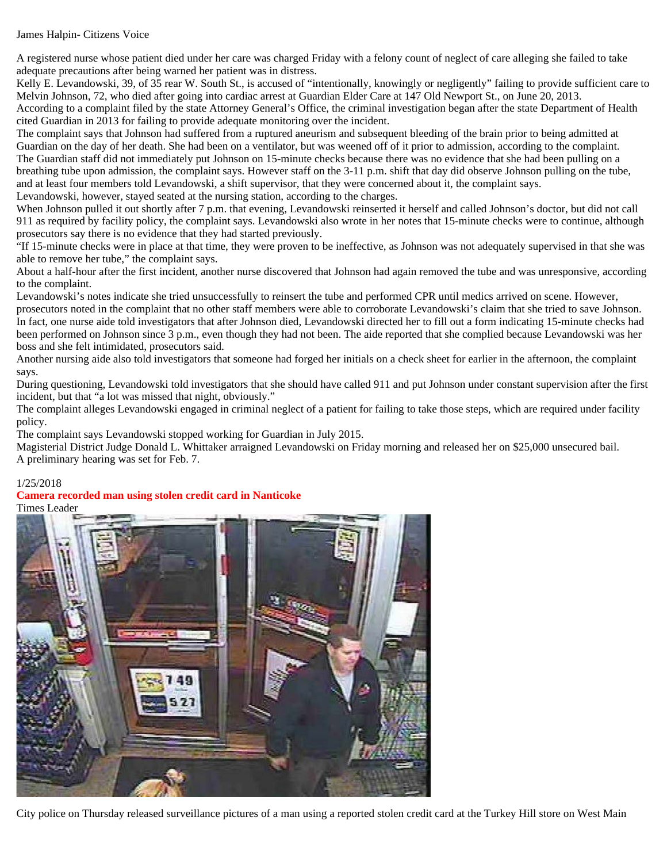#### James Halpin- Citizens Voice

A registered nurse whose patient died under her care was charged Friday with a felony count of neglect of care alleging she failed to take adequate precautions after being warned her patient was in distress.

Kelly E. Levandowski, 39, of 35 rear W. South St., is accused of "intentionally, knowingly or negligently" failing to provide sufficient care to Melvin Johnson, 72, who died after going into cardiac arrest at Guardian Elder Care at 147 Old Newport St., on June 20, 2013.

According to a complaint filed by the state Attorney General's Office, the criminal investigation began after the state Department of Health cited Guardian in 2013 for failing to provide adequate monitoring over the incident.

The complaint says that Johnson had suffered from a ruptured aneurism and subsequent bleeding of the brain prior to being admitted at Guardian on the day of her death. She had been on a ventilator, but was weened off of it prior to admission, according to the complaint. The Guardian staff did not immediately put Johnson on 15-minute checks because there was no evidence that she had been pulling on a breathing tube upon admission, the complaint says. However staff on the 3-11 p.m. shift that day did observe Johnson pulling on the tube, and at least four members told Levandowski, a shift supervisor, that they were concerned about it, the complaint says. Levandowski, however, stayed seated at the nursing station, according to the charges.

When Johnson pulled it out shortly after 7 p.m. that evening, Levandowski reinserted it herself and called Johnson's doctor, but did not call 911 as required by facility policy, the complaint says. Levandowski also wrote in her notes that 15-minute checks were to continue, although prosecutors say there is no evidence that they had started previously.

"If 15-minute checks were in place at that time, they were proven to be ineffective, as Johnson was not adequately supervised in that she was able to remove her tube," the complaint says.

About a half-hour after the first incident, another nurse discovered that Johnson had again removed the tube and was unresponsive, according to the complaint.

Levandowski's notes indicate she tried unsuccessfully to reinsert the tube and performed CPR until medics arrived on scene. However, prosecutors noted in the complaint that no other staff members were able to corroborate Levandowski's claim that she tried to save Johnson. In fact, one nurse aide told investigators that after Johnson died, Levandowski directed her to fill out a form indicating 15-minute checks had been performed on Johnson since 3 p.m., even though they had not been. The aide reported that she complied because Levandowski was her boss and she felt intimidated, prosecutors said.

Another nursing aide also told investigators that someone had forged her initials on a check sheet for earlier in the afternoon, the complaint says.

During questioning, Levandowski told investigators that she should have called 911 and put Johnson under constant supervision after the first incident, but that "a lot was missed that night, obviously."

The complaint alleges Levandowski engaged in criminal neglect of a patient for failing to take those steps, which are required under facility policy.

The complaint says Levandowski stopped working for Guardian in July 2015.

Magisterial District Judge Donald L. Whittaker arraigned Levandowski on Friday morning and released her on \$25,000 unsecured bail. A preliminary hearing was set for Feb. 7.

### 1/25/2018

### **Camera recorded man using stolen credit card in Nanticoke**

Times Leader



City police on Thursday released surveillance pictures of a man using a reported stolen credit card at the Turkey Hill store on West Main